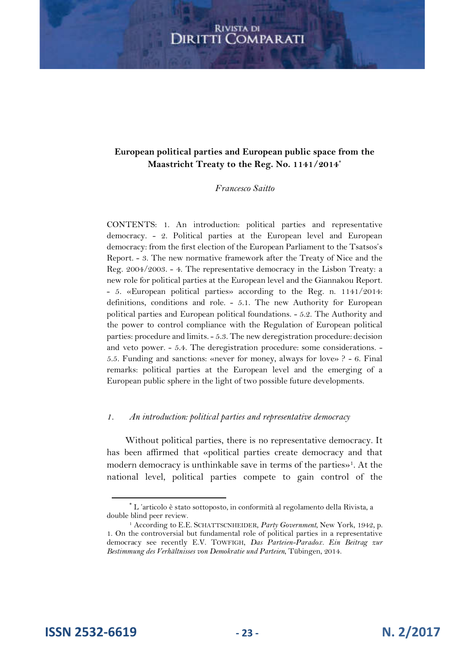#### **European political parties and European public space from the Maastricht Treaty to the Reg. No. 1141/2014\***

#### *Francesco Saitto*

CONTENTS: 1. An introduction: political parties and representative democracy. - 2. Political parties at the European level and European democracy: from the first election of the European Parliament to the Tsatsos's Report. - 3. The new normative framework after the Treaty of Nice and the Reg. 2004/2003. - 4. The representative democracy in the Lisbon Treaty: a new role for political parties at the European level and the Giannakou Report. - 5. «European political parties» according to the Reg. n. 1141/2014: definitions, conditions and role. - 5.1. The new Authority for European political parties and European political foundations. - 5.2. The Authority and the power to control compliance with the Regulation of European political parties: procedure and limits. - 5.3. The new deregistration procedure: decision and veto power. - 5.4. The deregistration procedure: some considerations. - 5.5. Funding and sanctions: «never for money, always for love» ? - 6. Final remarks: political parties at the European level and the emerging of a European public sphere in the light of two possible future developments.

#### *1. An introduction: political parties and representative democracy*

Without political parties, there is no representative democracy. It has been affirmed that «political parties create democracy and that modern democracy is unthinkable save in terms of the parties» 1 . At the national level, political parties compete to gain control of the

**ISSN 2532-6619 - 23 - N. 2/2017**

<sup>\*</sup> L 'articolo è stato sottoposto, in conformità al regolamento della Rivista, a double blind peer review.

<sup>&</sup>lt;sup>1</sup> According to E.E. SCHATTSCNHEIDER, *Party Government*, New York, 1942, p. 1. On the controversial but fundamental role of political parties in a representative democracy see recently E.V. TOWFIGH, *Das Parteien-Paradox. Ein Beitrag zur Bestimmung des Verhältnisses von Demokratie und Parteien*, Tübingen, 2014.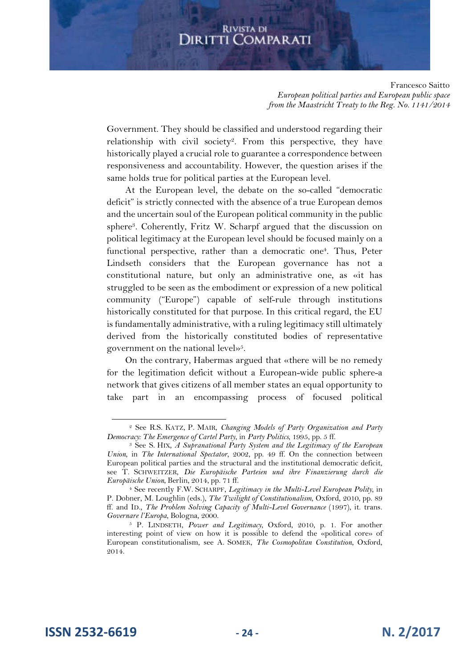Francesco Saitto *European political parties and European public space from the Maastricht Treaty to the Reg. No. 1141/2014*

Government. They should be classified and understood regarding their relationship with civil society<sup>2</sup>. From this perspective, they have historically played a crucial role to guarantee a correspondence between responsiveness and accountability. However, the question arises if the same holds true for political parties at the European level.

At the European level, the debate on the so-called "democratic deficit" is strictly connected with the absence of a true European demos and the uncertain soul of the European political community in the public sphere<sup>3</sup>. Coherently, Fritz W. Scharpf argued that the discussion on political legitimacy at the European level should be focused mainly on a functional perspective, rather than a democratic one<sup>4</sup>. Thus, Peter Lindseth considers that the European governance has not a constitutional nature, but only an administrative one, as «it has struggled to be seen as the embodiment or expression of a new political community ("Europe") capable of self-rule through institutions historically constituted for that purpose. In this critical regard, the EU is fundamentally administrative, with a ruling legitimacy still ultimately derived from the historically constituted bodies of representative government on the national level»<sup>5</sup> .

On the contrary, Habermas argued that «there will be no remedy for the legitimation deficit without a European-wide public sphere-a network that gives citizens of all member states an equal opportunity to take part in an encompassing process of focused political

<sup>2</sup> See R.S. KATZ, P. MAIR, *Changing Models of Party Organization and Party Democracy: The Emergence of Cartel Party*, in *Party Politics*, 1995, pp. 5 ff.

<sup>3</sup> See S. HIX*, A Supranational Party System and the Legitimacy of the European Union*, in *The International Spectator*, 2002, pp. 49 ff. On the connection between European political parties and the structural and the institutional democratic deficit, see T. SCHWEITZER, *Die Europäische Parteien und ihre Finanzierung durch die Europäische Union*, Berlin, 2014, pp. 71 ff.

<sup>4</sup> See recently F.W. SCHARPF, *Legitimacy in the Multi-Level European Polity*, in P. Dobner, M. Loughlin (eds.), *The Twilight of Constitutionalism*, Oxford, 2010, pp. 89 ff. and ID., *The Problem Solving Capacity of Multi-Level Governance* (1997), it. trans. *Governare l'Europa*, Bologna, 2000.

<sup>5</sup> P. LINDSETH, *Power and Legitimacy*, Oxford, 2010, p. 1. For another interesting point of view on how it is possible to defend the «political core» of European constitutionalism, see A. SOMEK, *The Cosmopolitan Constitution*, Oxford, 2014.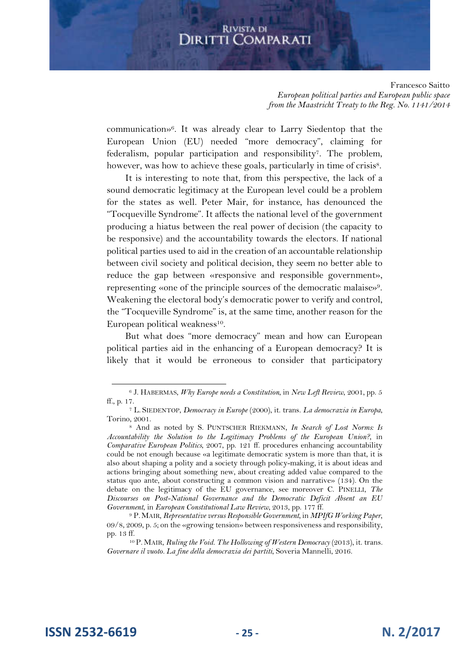Francesco Saitto *European political parties and European public space from the Maastricht Treaty to the Reg. No. 1141/2014*

communication»<sup>6</sup> . It was already clear to Larry Siedentop that the European Union (EU) needed "more democracy", claiming for federalism, popular participation and responsibility<sup>7</sup> . The problem, however, was how to achieve these goals, particularly in time of crisis<sup>8</sup>.

It is interesting to note that, from this perspective, the lack of a sound democratic legitimacy at the European level could be a problem for the states as well. Peter Mair, for instance, has denounced the "Tocqueville Syndrome". It affects the national level of the government producing a hiatus between the real power of decision (the capacity to be responsive) and the accountability towards the electors. If national political parties used to aid in the creation of an accountable relationship between civil society and political decision, they seem no better able to reduce the gap between «responsive and responsible government», representing «one of the principle sources of the democratic malaise»<sup>9</sup> . Weakening the electoral body's democratic power to verify and control, the "Tocqueville Syndrome" is, at the same time, another reason for the European political weakness<sup>10</sup>.

But what does "more democracy" mean and how can European political parties aid in the enhancing of a European democracy? It is likely that it would be erroneous to consider that participatory

**ISSN 2532-6619 - 25 - N. 2/2017**

<sup>6</sup> J. HABERMAS, *Why Europe needs a Constitution*, in *New Left Review*, 2001, pp. 5 ff., p. 17.

<sup>7</sup> L. SIEDENTOP, *Democracy in Europe* (2000), it. trans. *La democrazia in Europa*, Torino, 2001.

<sup>8</sup> And as noted by S. PUNTSCHER RIEKMANN*, In Search of Lost Norms: Is Accountability the Solution to the Legitimacy Problems of the European Union?*, in *Comparative European Politics*, 2007, pp. 121 ff. procedures enhancing accountability could be not enough because «a legitimate democratic system is more than that, it is also about shaping a polity and a society through policy-making, it is about ideas and actions bringing about something new, about creating added value compared to the status quo ante, about constructing a common vision and narrative» (134). On the debate on the legitimacy of the EU governance, see moreover C. PINELLI, *The Discourses on Post-National Governance and the Democratic Deficit Absent an EU Government*, in *European Constitutional Law Review*, 2013, pp. 177 ff.

<sup>9</sup> P.MAIR, *Representative versus Responsible Government*, in *MPIfG Working Paper*, 09/8, 2009, p. 5; on the «growing tension» between responsiveness and responsibility, pp. 13 ff.

<sup>10</sup> P. MAIR, *Ruling the Void. The Hollowing of Western Democracy* (2013), it. trans. *Governare il vuoto. La fine della democrazia dei partiti*, Soveria Mannelli, 2016.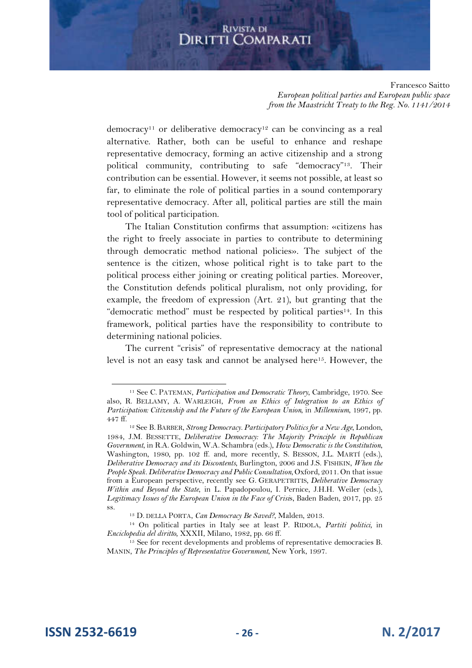Francesco Saitto *European political parties and European public space from the Maastricht Treaty to the Reg. No. 1141/2014*

democracy<sup>11</sup> or deliberative democracy<sup>12</sup> can be convincing as a real alternative. Rather, both can be useful to enhance and reshape representative democracy, forming an active citizenship and a strong political community, contributing to safe "democracy"<sup>13</sup>. Their contribution can be essential. However, it seems not possible, at least so far, to eliminate the role of political parties in a sound contemporary representative democracy. After all, political parties are still the main tool of political participation.

The Italian Constitution confirms that assumption: «citizens has the right to freely associate in parties to contribute to determining through democratic method national policies». The subject of the sentence is the citizen, whose political right is to take part to the political process either joining or creating political parties. Moreover, the Constitution defends political pluralism, not only providing, for example, the freedom of expression (Art. 21), but granting that the "democratic method" must be respected by political parties<sup>14</sup>. In this framework, political parties have the responsibility to contribute to determining national policies.

The current "crisis" of representative democracy at the national level is not an easy task and cannot be analysed here<sup>15</sup>. However, the

**ISSN 2532-6619 - 26 - N. 2/2017**

<sup>11</sup> See C. PATEMAN, *Participation and Democratic Theory*, Cambridge, 1970. See also, R. BELLAMY, A. WARLEIGH, *From an Ethics of Integration to an Ethics of Participation: Citizenship and the Future of the European Union*, in *Millennium*, 1997, pp. 447 ff.

<sup>12</sup> See B. BARBER, *Strong Democracy. Participatory Politics for a New Age*, London, 1984, J.M. BESSETTE, *Deliberative Democracy: The Majority Principle in Republican Government*, in R.A. Goldwin, W.A. Schambra (eds.), *How Democratic is the Constitution*, Washington, 1980, pp. 102 ff. and, more recently, S. BESSON, J.L. MARTÍ (eds.), *Deliberative Democracy and its Discontents*, Burlington, 2006 and J.S. FISHKIN, *When the People Speak. Deliberative Democracy and Public Consultation*, Oxford, 2011. On that issue from a European perspective, recently see G. GERAPETRITIS, *Deliberative Democracy Within and Beyond the State*, in L. Papadopoulou, I. Pernice, J.H.H. Weiler (eds.), *Legitimacy Issues of the European Union in the Face of Crisi*s, Baden Baden, 2017, pp. 25 ss.

<sup>13</sup> D. DELLA PORTA, *Can Democracy Be Saved?*, Malden, 2013.

<sup>14</sup> On political parties in Italy see at least P. RIDOLA, *Partiti politici,* in *Enciclopedia del diritto,* XXXII, Milano, 1982, pp. 66 ff.

<sup>&</sup>lt;sup>15</sup> See for recent developments and problems of representative democracies B. MANIN*, The Principles of Representative Government*, New York, 1997.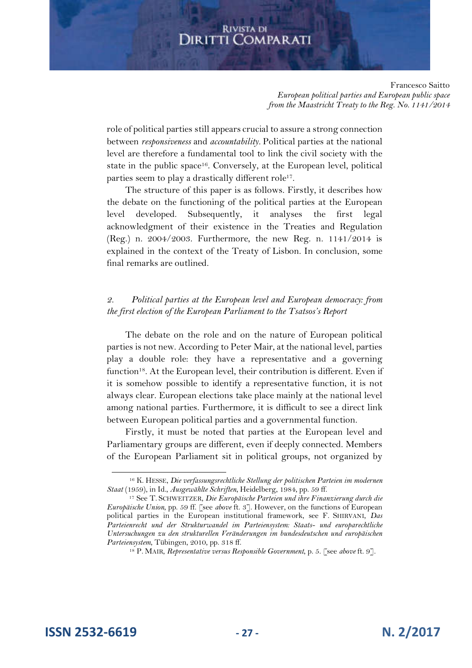Francesco Saitto *European political parties and European public space from the Maastricht Treaty to the Reg. No. 1141/2014*

role of political parties still appears crucial to assure a strong connection between *responsiveness* and *accountability.* Political parties at the national level are therefore a fundamental tool to link the civil society with the state in the public space<sup>16</sup>. Conversely, at the European level, political parties seem to play a drastically different role<sup>17</sup>.

The structure of this paper is as follows. Firstly, it describes how the debate on the functioning of the political parties at the European level developed. Subsequently, it analyses the first legal acknowledgment of their existence in the Treaties and Regulation (Reg.) n. 2004/2003. Furthermore, the new Reg. n. 1141/2014 is explained in the context of the Treaty of Lisbon. In conclusion, some final remarks are outlined.

#### *2. Political parties at the European level and European democracy: from the first election of the European Parliament to the Tsatsos's Report*

The debate on the role and on the nature of European political parties is not new. According to Peter Mair, at the national level, parties play a double role: they have a representative and a governing function<sup>18</sup>. At the European level, their contribution is different. Even if it is somehow possible to identify a representative function, it is not always clear. European elections take place mainly at the national level among national parties. Furthermore, it is difficult to see a direct link between European political parties and a governmental function.

Firstly, it must be noted that parties at the European level and Parliamentary groups are different, even if deeply connected. Members of the European Parliament sit in political groups, not organized by

**ISSN 2532-6619 - 27 - N. 2/2017**

<sup>16</sup> K. HESSE, *Die verfassungsrechtliche Stellung der politischen Parteien im modernen Staat* (1959), in Id., *Ausgewählte Schriften*, Heidelberg, 1984, pp. 59 ff.

<sup>17</sup> See T. SCHWEITZER, *Die Europäische Parteien und ihre Finanzierung durch die Europäische Union*, pp. 59 ff. [see *above* ft. 3]. However, on the functions of European political parties in the European institutional framework, see F. SHIRVANI, *Das Parteienrecht und der Strukturwandel im Parteiensystem: Staats- und europarechtliche Untersuchungen zu den strukturellen Veränderungen im bundesdeutschen und europäischen Parteiensystem*, Tübingen, 2010, pp. 318 ff.

<sup>18</sup> P. MAIR, *Representative versus Responsible Government*, p. 5. [see *above* ft. 9].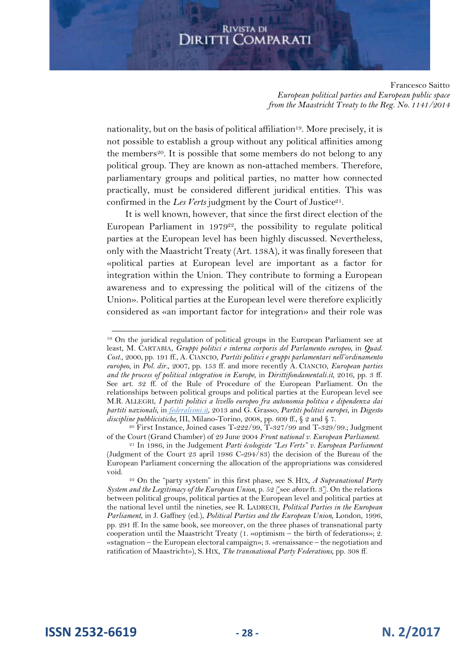Francesco Saitto *European political parties and European public space from the Maastricht Treaty to the Reg. No. 1141/2014*

nationality, but on the basis of political affiliation<sup>19</sup> . More precisely, it is not possible to establish a group without any political affinities among the members<sup>20</sup>. It is possible that some members do not belong to any political group. They are known as non-attached members. Therefore, parliamentary groups and political parties, no matter how connected practically, must be considered different juridical entities. This was confirmed in the Les Verts judgment by the Court of Justice<sup>21</sup>.

It is well known, however, that since the first direct election of the European Parliament in  $1979^{22}$ , the possibility to regulate political parties at the European level has been highly discussed. Nevertheless, only with the Maastricht Treaty (Art. 138A), it was finally foreseen that «political parties at European level are important as a factor for integration within the Union. They contribute to forming a European awareness and to expressing the political will of the citizens of the Union». Political parties at the European level were therefore explicitly considered as «an important factor for integration» and their role was

<sup>20</sup> First Instance, Joined cases T-222/99, T-327/99 and T-329/99.; Judgment of the Court (Grand Chamber) of 29 June 2004 *Front national v. European Parliament*.

**ISSN 2532-6619 - 28 - N. 2/2017**

<sup>19</sup> On the juridical regulation of political groups in the European Parliament see at least, M. CARTABIA, *Gruppi politici e interna corporis del Parlamento europeo*, in *Quad. Cost*., 2000, pp. 191 ff., A. CIANCIO, *Partiti politici e gruppi parlamentari nell'ordinamento europeo*, in *Pol. dir*., 2007, pp. 153 ff. and more recently A. CIANCIO, *European parties and the process of political integration in Europe*, in *Dirittifondamentali.it*, 2016, pp. 3 ff. See art. 32 ff. of the Rule of Procedure of the European Parliament. On the relationships between political groups and political parties at the European level see M.R. ALLEGRI, *I partiti politici a livello europeo fra autonomia politica e dipendenza dai partiti nazionali*, in *federalismi.it*, 2013 and G. Grasso, *Partiti politici europei*, in *Digesto discipline pubblicistiche*, III, Milano-Torino, 2008, pp. 609 ff., § 2 and § 7.

<sup>21</sup> In 1986, in the Judgement *Parti écologiste "Les Verts" v. European Parliament* (Judgment of the Court 23 april 1986 C-294/83) the decision of the Bureau of the European Parliament concerning the allocation of the appropriations was considered void.

<sup>22</sup> On the "party system" in this first phase, see S. HIX*, A Supranational Party System and the Legitimacy of the European Union*, p. 52 [see *above* ft. 3]. On the relations between political groups, political parties at the European level and political parties at the national level until the nineties, see R. LADRECH, *Political Parties in the European Parliament*, in J. Gaffney (ed.), *Political Parties and the European Union*, London, 1996, pp. 291 ff. In the same book, see moreover, on the three phases of transnational party cooperation until the Maastricht Treaty (1. «optimism – the birth of federations»; 2. «stagnation – the European electoral campaign»; 3. «renaissance – the negotiation and ratification of Maastricht»), S. HIX, *The transnational Party Federations*, pp. 308 ff.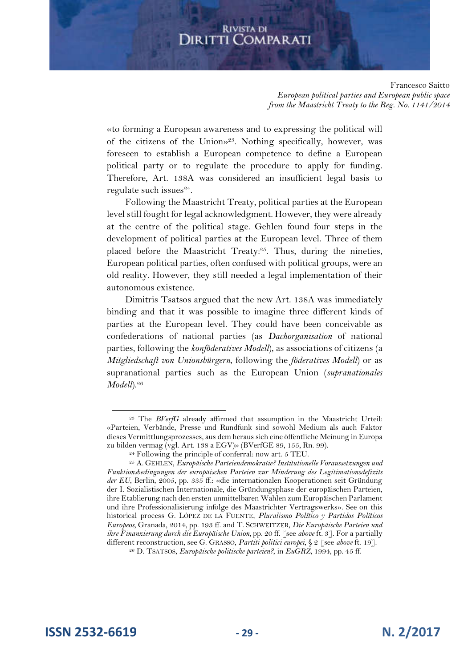Francesco Saitto *European political parties and European public space from the Maastricht Treaty to the Reg. No. 1141/2014*

«to forming a European awareness and to expressing the political will of the citizens of the Union»<sup>23</sup>. Nothing specifically, however, was foreseen to establish a European competence to define a European political party or to regulate the procedure to apply for funding. Therefore, Art. 138A was considered an insufficient legal basis to regulate such issues<sup>24</sup>.

Following the Maastricht Treaty, political parties at the European level still fought for legal acknowledgment. However, they were already at the centre of the political stage. Gehlen found four steps in the development of political parties at the European level. Three of them placed before the Maastricht Treaty:<sup>25</sup>. Thus, during the nineties, European political parties, often confused with political groups, were an old reality. However, they still needed a legal implementation of their autonomous existence.

Dimitris Tsatsos argued that the new Art. 138A was immediately binding and that it was possible to imagine three different kinds of parties at the European level. They could have been conceivable as confederations of national parties (as *Dachorganisation* of national parties, following the *konföderatives Modell*), as associations of citizens (a *Mitgliedschaft von Unionsbürgern*, following the *föderatives Modell*) or as supranational parties such as the European Union (*supranationales Modell*).<sup>26</sup>

<sup>23</sup> The *BVerfG* already affirmed that assumption in the Maastricht Urteil: «Parteien, Verbände, Presse und Rundfunk sind sowohl Medium als auch Faktor dieses Vermittlungsprozesses, aus dem heraus sich eine öffentliche Meinung in Europa zu bilden vermag (vgl. Art. 138 a EGV)» (BVerfGE 89, 155, Rn. 99).

<sup>24</sup> Following the principle of conferral: now art. 5 TEU.

<sup>25</sup> A. GEHLEN, *Europäische Parteiendemokratie? Institutionelle Voraussetzungen und Funktionsbedingungen der europäischen Parteien zur Minderung des Legitimationsdefizits der EU*, Berlin, 2005, pp. 335 ff.: «die internationalen Kooperationen seit Gründung der I. Sozialistischen Internationale, die Gründungsphase der europäischen Parteien, ihre Etablierung nach den ersten unmittelbaren Wahlen zum Europäischen Parlament und ihre Professionalisierung infolge des Maastrichter Vertragswerks». See on this historical process G. LÓPEZ DE LA FUENTE, *Pluralismo Político y Partidos Políticos Europeos*, Granada, 2014, pp. 193 ff. and T. SCHWEITZER, *Die Europäische Parteien und ihre Finanzierung durch die Europäische Union*, pp. 20 ff. [see *above* ft. 3]. For a partially different reconstruction, see G. GRASSO, *Partiti politici europei*, § 2 [see *above* ft. 19].

<sup>26</sup> D. TSATSOS, *Europäische politische parteien?*, in *EuGRZ*, 1994, pp. 45 ff.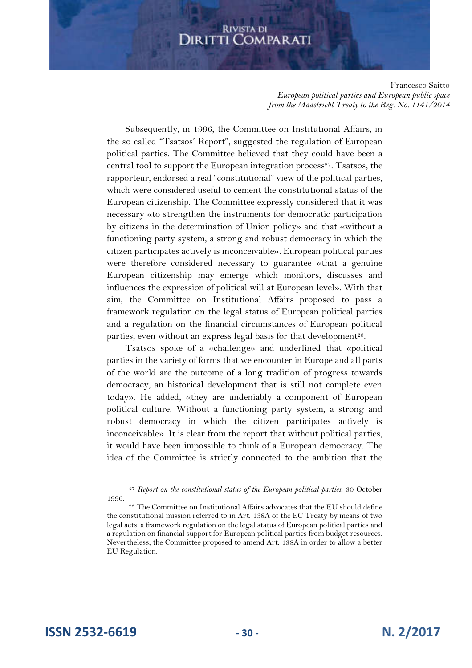Francesco Saitto *European political parties and European public space from the Maastricht Treaty to the Reg. No. 1141/2014*

Subsequently, in 1996, the Committee on Institutional Affairs, in the so called "Tsatsos' Report", suggested the regulation of European political parties. The Committee believed that they could have been a central tool to support the European integration process<sup>27</sup>. Tsatsos, the rapporteur, endorsed a real "constitutional" view of the political parties, which were considered useful to cement the constitutional status of the European citizenship. The Committee expressly considered that it was necessary «to strengthen the instruments for democratic participation by citizens in the determination of Union policy» and that «without a functioning party system, a strong and robust democracy in which the citizen participates actively is inconceivable». European political parties were therefore considered necessary to guarantee «that a genuine European citizenship may emerge which monitors, discusses and influences the expression of political will at European level». With that aim, the Committee on Institutional Affairs proposed to pass a framework regulation on the legal status of European political parties and a regulation on the financial circumstances of European political parties, even without an express legal basis for that development<sup>28</sup>.

Tsatsos spoke of a «challenge» and underlined that «political parties in the variety of forms that we encounter in Europe and all parts of the world are the outcome of a long tradition of progress towards democracy, an historical development that is still not complete even today». He added, «they are undeniably a component of European political culture. Without a functioning party system, a strong and robust democracy in which the citizen participates actively is inconceivable». It is clear from the report that without political parties, it would have been impossible to think of a European democracy. The idea of the Committee is strictly connected to the ambition that the

**ISSN 2532-6619 - 30 - N. 2/2017**

<sup>27</sup> *Report on the constitutional status of the European political parties*, 30 October 1996.

<sup>28</sup> The Committee on Institutional Affairs advocates that the EU should define the constitutional mission referred to in Art. 138A of the EC Treaty by means of two legal acts: a framework regulation on the legal status of European political parties and a regulation on financial support for European political parties from budget resources. Nevertheless, the Committee proposed to amend Art. 138A in order to allow a better EU Regulation.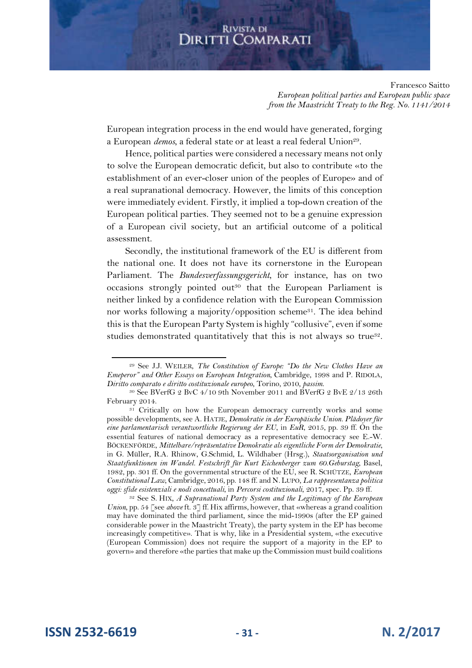Francesco Saitto *European political parties and European public space from the Maastricht Treaty to the Reg. No. 1141/2014*

European integration process in the end would have generated, forging a European *demos*, a federal state or at least a real federal Union<sup>29</sup>.

Hence, political parties were considered a necessary means not only to solve the European democratic deficit, but also to contribute «to the establishment of an ever-closer union of the peoples of Europe» and of a real supranational democracy. However, the limits of this conception were immediately evident. Firstly, it implied a top-down creation of the European political parties. They seemed not to be a genuine expression of a European civil society, but an artificial outcome of a political assessment.

Secondly, the institutional framework of the EU is different from the national one. It does not have its cornerstone in the European Parliament. The *Bundesverfassungsgericht*, for instance, has on two occasions strongly pointed out<sup>30</sup> that the European Parliament is neither linked by a confidence relation with the European Commission nor works following a majority/opposition scheme<sup>31</sup>. The idea behind this is that the European Party System is highly "collusive", even if some studies demonstrated quantitatively that this is not always so true<sup>32</sup>.

**ISSN 2532-6619 - 31 - N. 2/2017**

<sup>29</sup> See J.J. WEILER, *The Constitution of Europe: "Do the New Clothes Have an Emeperor" and Other Essays on European Integration*, Cambridge, 1998 and P. RIDOLA, *Diritto comparato e diritto costituzionale europeo*, Torino, 2010, *passim*.

<sup>30</sup> See BVerfG 2 BvC 4/10 9th November 2011 and BVerfG 2 BvE 2/13 26th February 2014.

<sup>&</sup>lt;sup>31</sup> Critically on how the European democracy currently works and some possible developments, see A. HATJE, *Demokratie in der Europäische Union. Plädoyer für eine parlamentarisch verantwortliche Regierung der EU*, in *EuR*, 2015, pp. 39 ff. On the essential features of national democracy as a representative democracy see E.-W. BÖCKENFÖRDE, *Mittelbare/repräsentative Demokratie als eigentliche Form der Demokratie*, in G. Müller, R.A. Rhinow, G.Schmid, L. Wildhaber (Hrsg.), *Staatsorganisation und Staatsfunktionen im Wandel. Festschrift für Kurt Eichenberger zum 60.Geburstag*, Basel, 1982, pp. 301 ff. On the governmental structure of the EU, see R. SCHÜTZE, *European Constitutional Law*, Cambridge, 2016, pp. 148 ff. and N. LUPO, *La rappresentanza politica oggi: sfide esistenziali e nodi concettuali*, in *Percorsi costituzionali*, 2017, spec. Pp. 39 ff.

<sup>32</sup> See S. HIX*, A Supranational Party System and the Legitimacy of the European Union*, pp. 54 [see *above* ft. 3] ff. Hix affirms, however, that «whereas a grand coalition may have dominated the third parliament, since the mid-1990s (after the EP gained considerable power in the Maastricht Treaty), the party system in the EP has become increasingly competitive». That is why, like in a Presidential system, «the executive (European Commission) does not require the support of a majority in the EP to govern» and therefore «the parties that make up the Commission must build coalitions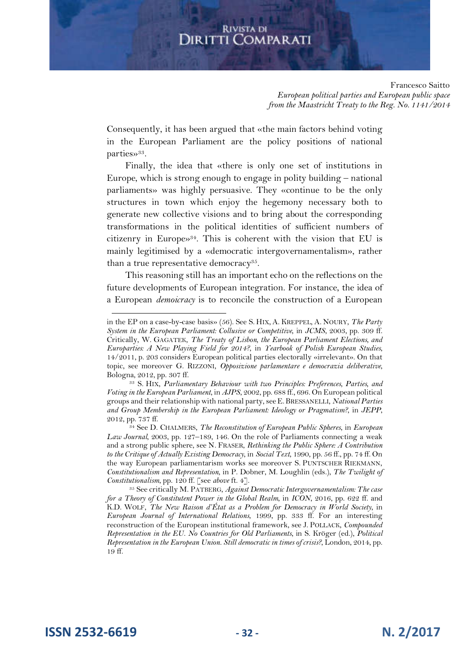Francesco Saitto *European political parties and European public space from the Maastricht Treaty to the Reg. No. 1141/2014*

Consequently, it has been argued that «the main factors behind voting in the European Parliament are the policy positions of national parties»<sup>33</sup>.

Finally, the idea that «there is only one set of institutions in Europe, which is strong enough to engage in polity building – national parliaments» was highly persuasive. They «continue to be the only structures in town which enjoy the hegemony necessary both to generate new collective visions and to bring about the corresponding transformations in the political identities of sufficient numbers of citizenry in Europe»<sup>34</sup>. This is coherent with the vision that EU is mainly legitimised by a «democratic intergovernamentalism», rather than a true representative democracy<sup>35</sup>.

This reasoning still has an important echo on the reflections on the future developments of European integration. For instance, the idea of a European *demoicracy* is to reconcile the construction of a European

**ISSN 2532-6619 - 32 - N. 2/2017**

in the EP on a case-by-case basis» (56). See S. HIX, A. KREPPEL, A. NOURY, *The Party System in the European Parliament: Collusive or Competitive*, in *JCMS*, 2003, pp. 309 ff. Critically, W. GAGATEK, *The Treaty of Lisbon, the European Parliament Elections, and Europarties: A New Playing Field for 2014?*, in *Yearbook of Polish European Studies*, 14/2011, p. 203 considers European political parties electorally «irrelevant». On that topic, see moreover G. RIZZONI, *Opposizione parlamentare e democrazia deliberative*, Bologna, 2012, pp. 307 ff.

<sup>33</sup> S. HIX, *Parliamentary Behaviour with two Principles: Preferences, Parties, and Voting in the European Parliament*, in *AJPS*, 2002, pp. 688 ff., 696. On European political groups and their relationship with national party, see E.BRESSANELLI, *National Parties and Group Membership in the European Parliament: Ideology or Pragmatism?*, in *JEPP*, 2012, pp. 737 ff.

<sup>34</sup> See D. CHALMERS, *The Reconstitution of European Public Spheres*, in *European Law Journal*, 2003, pp. 127–189, 146. On the role of Parliaments connecting a weak and a strong public sphere, see N. FRASER, *Rethinking the Public Sphere: A Contribution to the Critique of Actually Existing Democracy*, in *Social Text*, 1990, pp. 56 ff., pp. 74 ff. On the way European parliamentarism works see moreover S. PUNTSCHER RIEKMANN, *Constitutionalism and Representation*, in P. Dobner, M. Loughlin (eds.), *The Twilight of Constitutionalism*, pp. 120 ff. [see *above* ft. 4].

<sup>35</sup> See critically M. PATBERG, *Against Democratic Intergovernamentalism: The case for a Theory of Constitutent Power in the Global Realm*, in *ICON*, 2016, pp. 622 ff. and K.D. WOLF, *The New Raison d'État as a Problem for Democracy in World Society*, in *European Journal of International Relations*, 1999, pp. 333 ff. For an interesting reconstruction of the European institutional framework, see J. POLLACK, *Compounded Representation in the EU. No Countries for Old Parliaments*, in S. Kröger (ed.), *Political Representation in the European Union. Still democratic in times of crisis?*, London, 2014, pp. 19 ff.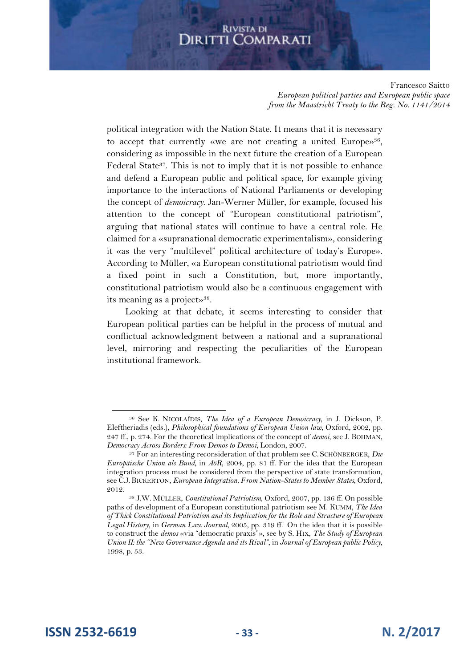Francesco Saitto *European political parties and European public space from the Maastricht Treaty to the Reg. No. 1141/2014*

political integration with the Nation State. It means that it is necessary to accept that currently «we are not creating a united Europe»<sup>36</sup>, considering as impossible in the next future the creation of a European Federal State<sup>37</sup>. This is not to imply that it is not possible to enhance and defend a European public and political space, for example giving importance to the interactions of National Parliaments or developing the concept of *demoicracy*. Jan-Werner Müller, for example, focused his attention to the concept of "European constitutional patriotism", arguing that national states will continue to have a central role. He claimed for a «supranational democratic experimentalism», considering it «as the very "multilevel" political architecture of today's Europe». According to Müller, «a European constitutional patriotism would find a fixed point in such a Constitution, but, more importantly, constitutional patriotism would also be a continuous engagement with its meaning as a project»<sup>38</sup>.

Looking at that debate, it seems interesting to consider that European political parties can be helpful in the process of mutual and conflictual acknowledgment between a national and a supranational level, mirroring and respecting the peculiarities of the European institutional framework.

**ISSN 2532-6619 - 33 - N. 2/2017**

<sup>36</sup> See K. NICOLAÏDIS, *The Idea of a European Demoicracy*, in J. Dickson, P. Eleftheriadis (eds.), *Philosophical foundations of European Union law*, Oxford, 2002, pp. 247 ff., p. 274. For the theoretical implications of the concept of *demoi*, see J. BOHMAN, *Democracy Across Borders: From Demos to Demoi*, London, 2007.

<sup>37</sup> For an interesting reconsideration of that problem see C. SCHÖNBERGER, *Die Europäische Union als Bund*, in *AöR*, 2004, pp. 81 ff. For the idea that the European integration process must be considered from the perspective of state transformation, see C.J. BICKERTON, *European Integration. From Nation-States to Member States*, Oxford, 2012.

<sup>38</sup> J.W. MÜLLER, *Constitutional Patriotism*, Oxford, 2007, pp. 136 ff. On possible paths of development of a European constitutional patriotism see M. KUMM, *The Idea of Thick Constitutional Patriotism and its Implication for the Role and Structure of European Legal History*, in *German Law Journal*, 2005, pp. 319 ff. On the idea that it is possible to construct the *demos* «via "democratic praxis"», see by S. HIX, *The Study of European Union II: the "New Governance Agenda and its Rival"*, in *Journal of European public Policy*, 1998, p. 53.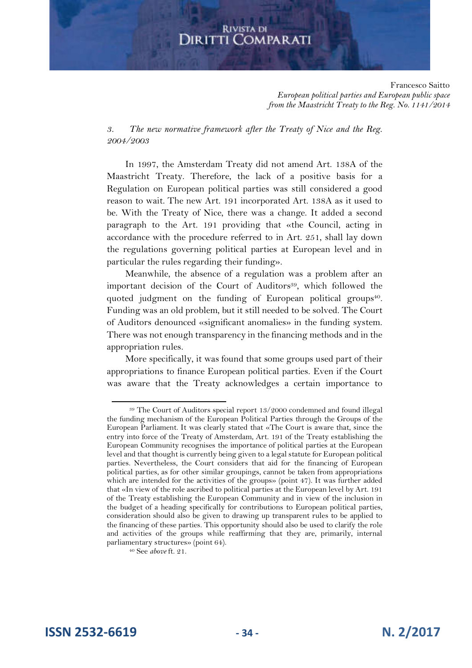Francesco Saitto *European political parties and European public space from the Maastricht Treaty to the Reg. No. 1141/2014*

*3. The new normative framework after the Treaty of Nice and the Reg. 2004/2003*

In 1997, the Amsterdam Treaty did not amend Art. 138A of the Maastricht Treaty. Therefore, the lack of a positive basis for a Regulation on European political parties was still considered a good reason to wait. The new Art. 191 incorporated Art. 138A as it used to be. With the Treaty of Nice, there was a change. It added a second paragraph to the Art. 191 providing that «the Council, acting in accordance with the procedure referred to in Art. 251, shall lay down the regulations governing political parties at European level and in particular the rules regarding their funding».

Meanwhile, the absence of a regulation was a problem after an important decision of the Court of Auditors<sup>39</sup>, which followed the quoted judgment on the funding of European political groups<sup>40</sup>. Funding was an old problem, but it still needed to be solved. The Court of Auditors denounced «significant anomalies» in the funding system. There was not enough transparency in the financing methods and in the appropriation rules.

More specifically, it was found that some groups used part of their appropriations to finance European political parties. Even if the Court was aware that the Treaty acknowledges a certain importance to

<sup>39</sup> The Court of Auditors special report 13/2000 condemned and found illegal the funding mechanism of the European Political Parties through the Groups of the European Parliament. It was clearly stated that «The Court is aware that, since the entry into force of the Treaty of Amsterdam, Art. 191 of the Treaty establishing the European Community recognises the importance of political parties at the European level and that thought is currently being given to a legal statute for European political parties. Nevertheless, the Court considers that aid for the financing of European political parties, as for other similar groupings, cannot be taken from appropriations which are intended for the activities of the groups» (point 47). It was further added that «In view of the role ascribed to political parties at the European level by Art. 191 of the Treaty establishing the European Community and in view of the inclusion in the budget of a heading specifically for contributions to European political parties, consideration should also be given to drawing up transparent rules to be applied to the financing of these parties. This opportunity should also be used to clarify the role and activities of the groups while reaffirming that they are, primarily, internal parliamentary structures» (point 64).

<sup>40</sup> See *above* ft. 21.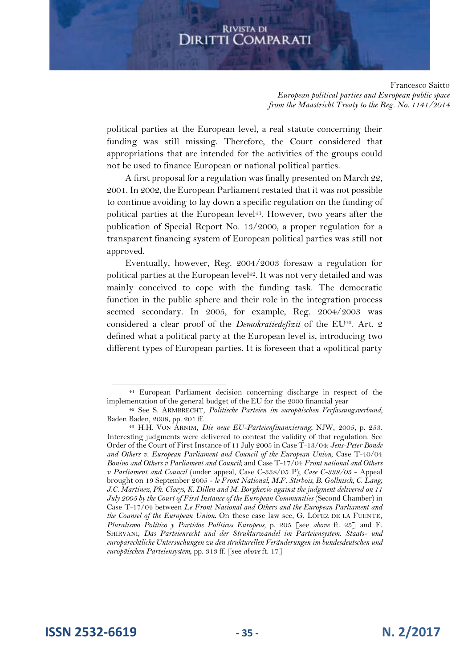Francesco Saitto *European political parties and European public space from the Maastricht Treaty to the Reg. No. 1141/2014*

political parties at the European level, a real statute concerning their funding was still missing. Therefore, the Court considered that appropriations that are intended for the activities of the groups could not be used to finance European or national political parties.

A first proposal for a regulation was finally presented on March 22, 2001. In 2002, the European Parliament restated that it was not possible to continue avoiding to lay down a specific regulation on the funding of political parties at the European level<sup>41</sup>. However, two years after the publication of Special Report No. 13/2000, a proper regulation for a transparent financing system of European political parties was still not approved.

Eventually, however, Reg. 2004/2003 foresaw a regulation for political parties at the European level<sup>42</sup>. It was not very detailed and was mainly conceived to cope with the funding task. The democratic function in the public sphere and their role in the integration process seemed secondary. In 2005, for example, Reg. 2004/2003 was considered a clear proof of the *Demokratiedefizit* of the EU<sup>43</sup>. Art. 2 defined what a political party at the European level is, introducing two different types of European parties. It is foreseen that a «political party

<sup>41</sup> European Parliament decision concerning discharge in respect of the implementation of the general budget of the EU for the 2000 financial year

<sup>42</sup> See S. ARMBRECHT, *Politische Parteien im europäischen Verfassungsverbund*, Baden Baden, 2008, pp. 201 ff.

<sup>43</sup> H.H. VON ARNIM, *Die neue EU-Parteienfinanzierung*, NJW, 2005, p. 253. Interesting judgments were delivered to contest the validity of that regulation. See Order of the Court of First Instance of 11 July 2005 in Case T-13/04: *Jens-Peter Bonde and Others v. European Parliament and Council of the European Union*; Case T-40/04 *Bonino and Others v Parliament and Council*; and Case T-17/04 *Front national and Others v Parliament and Council* (under appeal, Case C-338/05 P); *Case C-338/05* - Appeal brought on 19 September 2005 - *le Front National, M.F. Stirbois, B. Gollnisch, C. Lang, J.C. Martinez, Ph. Claeys, K. Dillen and M. Borghezio against the judgment delivered on 11 July 2005 by the Court of First Instance of the European Communities* (Second Chamber) in Case T-17/04 between *Le Front National and Others and the European Parliament and the Counsel of the European Union***.** On these case law see, G. LÓPEZ DE LA FUENTE, *Pluralismo Político y Partidos Políticos Europeos*, p. 205 [see *above* ft. 25] and F. SHIRVANI, *Das Parteienrecht und der Strukturwandel im Parteiensystem. Staats- und europarechtliche Untersuchungen zu den strukturellen Veränderungen im bundesdeutschen und europäischen Parteiensystem*, pp. 313 ff. [see *above* ft. 17]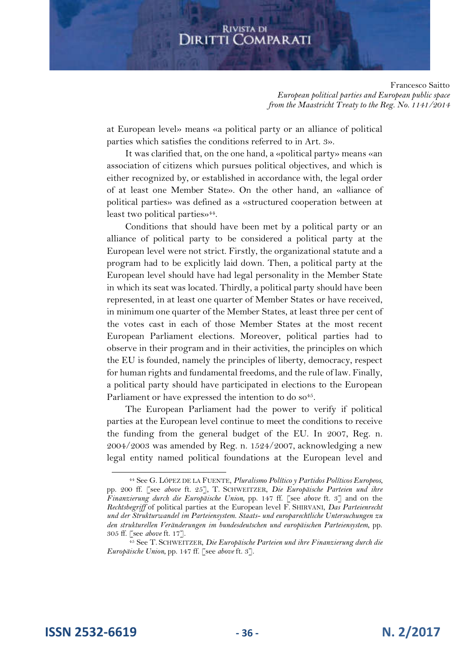Francesco Saitto *European political parties and European public space from the Maastricht Treaty to the Reg. No. 1141/2014*

at European level» means «a political party or an alliance of political parties which satisfies the conditions referred to in Art. 3».

It was clarified that, on the one hand, a «political party» means «an association of citizens which pursues political objectives, and which is either recognized by, or established in accordance with, the legal order of at least one Member State». On the other hand, an «alliance of political parties» was defined as a «structured cooperation between at least two political parties»<sup>44</sup> .

Conditions that should have been met by a political party or an alliance of political party to be considered a political party at the European level were not strict. Firstly, the organizational statute and a program had to be explicitly laid down. Then, a political party at the European level should have had legal personality in the Member State in which its seat was located. Thirdly, a political party should have been represented, in at least one quarter of Member States or have received, in minimum one quarter of the Member States, at least three per cent of the votes cast in each of those Member States at the most recent European Parliament elections. Moreover, political parties had to observe in their program and in their activities, the principles on which the EU is founded, namely the principles of liberty, democracy, respect for human rights and fundamental freedoms, and the rule of law. Finally, a political party should have participated in elections to the European Parliament or have expressed the intention to do so<sup>45</sup>.

The European Parliament had the power to verify if political parties at the European level continue to meet the conditions to receive the funding from the general budget of the EU. In 2007, Reg. n. 2004/2003 was amended by Reg. n. 1524/2007, acknowledging a new legal entity named political foundations at the European level and

**ISSN 2532-6619 - 36 - N. 2/2017**

<sup>44</sup> See G. LÓPEZ DE LA FUENTE, *Pluralismo Político y Partidos Políticos Europeos*, pp. 200 ff. [see *above* ft. 25], T. SCHWEITZER, *Die Europäische Parteien und ihre Finanzierung durch die Europäische Union*, pp. 147 ff. [see *above* ft. 3] and on the *Rechtsbegriff* of political parties at the European level F. SHIRVANI, *Das Parteienrecht und der Strukturwandel im Parteiensystem. Staats- und europarechtliche Untersuchungen zu den strukturellen Veränderungen im bundesdeutschen und europäischen Parteiensystem*, pp. 305 ff. [see *above* ft. 17].

<sup>45</sup> See T. SCHWEITZER, *Die Europäische Parteien und ihre Finanzierung durch die Europäische Union*, pp. 147 ff. [see *above* ft. 3].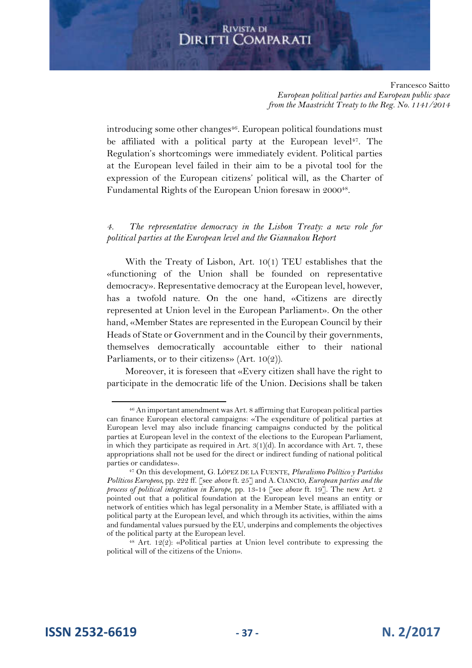Francesco Saitto *European political parties and European public space from the Maastricht Treaty to the Reg. No. 1141/2014*

introducing some other changes<sup>46</sup>. European political foundations must be affiliated with a political party at the European level<sup>47</sup>. The Regulation's shortcomings were immediately evident. Political parties at the European level failed in their aim to be a pivotal tool for the expression of the European citizens' political will, as the Charter of Fundamental Rights of the European Union foresaw in 2000<sup>48</sup>.

#### *4. The representative democracy in the Lisbon Treaty: a new role for political parties at the European level and the Giannakou Report*

With the Treaty of Lisbon, Art. 10(1) TEU establishes that the «functioning of the Union shall be founded on representative democracy». Representative democracy at the European level, however, has a twofold nature. On the one hand, «Citizens are directly represented at Union level in the European Parliament». On the other hand, «Member States are represented in the European Council by their Heads of State or Government and in the Council by their governments, themselves democratically accountable either to their national Parliaments, or to their citizens» (Art. 10(2)).

Moreover, it is foreseen that «Every citizen shall have the right to participate in the democratic life of the Union. Decisions shall be taken

<sup>46</sup> An important amendment was Art. 8 affirming that European political parties can finance European electoral campaigns: «The expenditure of political parties at European level may also include financing campaigns conducted by the political parties at European level in the context of the elections to the European Parliament, in which they participate as required in Art.  $3(1)(d)$ . In accordance with Art. 7, these appropriations shall not be used for the direct or indirect funding of national political parties or candidates».

<sup>47</sup> On this development, G. LÓPEZ DE LA FUENTE, *Pluralismo Político y Partidos Políticos Europeos*, pp. 222 ff. [see *above* ft. 25] and A. CIANCIO, *European parties and the process of political integration in Europe*, pp. 13-14 [see *above* ft. 19]. The new Art. 2 pointed out that a political foundation at the European level means an entity or network of entities which has legal personality in a Member State, is affiliated with a political party at the European level, and which through its activities, within the aims and fundamental values pursued by the EU, underpins and complements the objectives of the political party at the European level.

 $48$  Art. 12(2): «Political parties at Union level contribute to expressing the political will of the citizens of the Union».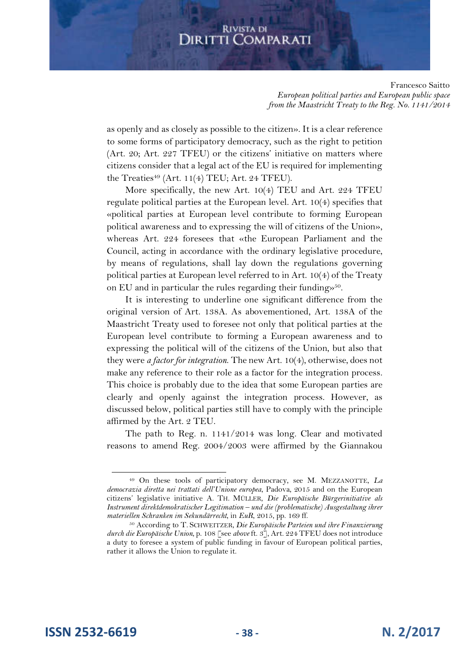Francesco Saitto *European political parties and European public space from the Maastricht Treaty to the Reg. No. 1141/2014*

as openly and as closely as possible to the citizen». It is a clear reference to some forms of participatory democracy, such as the right to petition (Art. 20; Art. 227 TFEU) or the citizens' initiative on matters where citizens consider that a legal act of the EU is required for implementing the Treaties $49$  (Art. 11(4) TEU; Art. 24 TFEU).

More specifically, the new Art. 10(4) TEU and Art. 224 TFEU regulate political parties at the European level. Art. 10(4) specifies that «political parties at European level contribute to forming European political awareness and to expressing the will of citizens of the Union», whereas Art. 224 foresees that «the European Parliament and the Council, acting in accordance with the ordinary legislative procedure, by means of regulations, shall lay down the regulations governing political parties at European level referred to in Art. 10(4) of the Treaty on EU and in particular the rules regarding their funding» 50 .

It is interesting to underline one significant difference from the original version of Art. 138A. As abovementioned, Art. 138A of the Maastricht Treaty used to foresee not only that political parties at the European level contribute to forming a European awareness and to expressing the political will of the citizens of the Union, but also that they were *a factor for integration*. The new Art. 10(4), otherwise, does not make any reference to their role as a factor for the integration process. This choice is probably due to the idea that some European parties are clearly and openly against the integration process. However, as discussed below, political parties still have to comply with the principle affirmed by the Art. 2 TEU.

The path to Reg. n. 1141/2014 was long. Clear and motivated reasons to amend Reg. 2004/2003 were affirmed by the Giannakou

<sup>49</sup> On these tools of participatory democracy, see M. MEZZANOTTE, *La democrazia diretta nei trattati dell'Unione europea*, Padova, 2015 and on the European citizens' legislative initiative A. TH. MÜLLER, *Die Europäische Bürgerinitiative als Instrument direktdemokratischer Legitimation – und die (problematische) Ausgestaltung ihrer materiellen Schranken im Sekundärrecht*, in *EuR*, 2015, pp. 169 ff.

<sup>50</sup> According to T. SCHWEITZER, *Die Europäische Parteien und ihre Finanzierung durch die Europäische Union*, p. 108 [see *above* ft. 3], Art. 224 TFEU does not introduce a duty to foresee a system of public funding in favour of European political parties, rather it allows the Union to regulate it.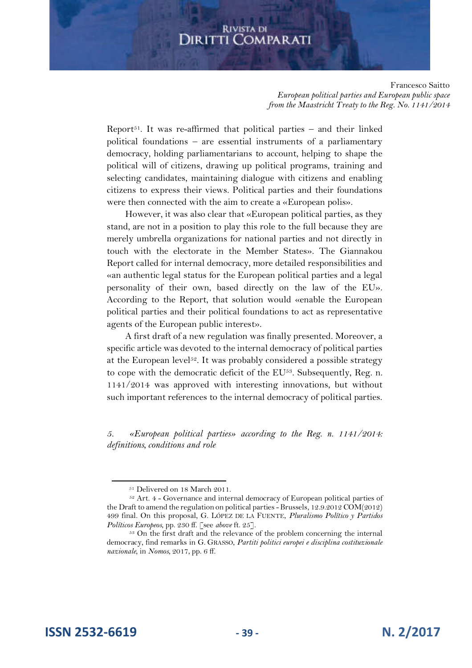Francesco Saitto *European political parties and European public space from the Maastricht Treaty to the Reg. No. 1141/2014*

Report<sup>51</sup>. It was re-affirmed that political parties – and their linked political foundations – are essential instruments of a parliamentary democracy, holding parliamentarians to account, helping to shape the political will of citizens, drawing up political programs, training and selecting candidates, maintaining dialogue with citizens and enabling citizens to express their views. Political parties and their foundations were then connected with the aim to create a «European polis».

However, it was also clear that «European political parties, as they stand, are not in a position to play this role to the full because they are merely umbrella organizations for national parties and not directly in touch with the electorate in the Member States». The Giannakou Report called for internal democracy, more detailed responsibilities and «an authentic legal status for the European political parties and a legal personality of their own, based directly on the law of the EU». According to the Report, that solution would «enable the European political parties and their political foundations to act as representative agents of the European public interest».

A first draft of a new regulation was finally presented. Moreover, a specific article was devoted to the internal democracy of political parties at the European level<sup>52</sup>. It was probably considered a possible strategy to cope with the democratic deficit of the  $EU^{53}$ . Subsequently, Reg. n. 1141/2014 was approved with interesting innovations, but without such important references to the internal democracy of political parties.

*5. «European political parties» according to the Reg. n. 1141/2014: definitions, conditions and role* 

<sup>51</sup> Delivered on 18 March 2011.

<sup>52</sup> Art. 4 - Governance and internal democracy of European political parties of the Draft to amend the regulation on political parties - Brussels, 12.9.2012 COM(2012) 499 final. On this proposal, G. LÓPEZ DE LA FUENTE, *Pluralismo Político y Partidos Políticos Europeos*, pp. 230 ff. [see *above* ft. 25].

<sup>&</sup>lt;sup>53</sup> On the first draft and the relevance of the problem concerning the internal democracy, find remarks in G. GRASSO, *Partiti politici europei e disciplina costituzionale nazionale*, in *Nomos*, 2017, pp. 6 ff.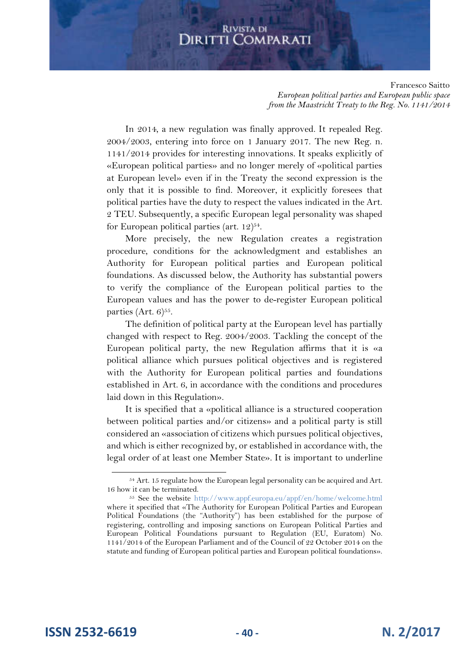Francesco Saitto *European political parties and European public space from the Maastricht Treaty to the Reg. No. 1141/2014*

In 2014, a new regulation was finally approved. It repealed Reg. 2004/2003, entering into force on 1 January 2017. The new Reg. n. 1141/2014 provides for interesting innovations. It speaks explicitly of «European political parties» and no longer merely of «political parties at European level» even if in the Treaty the second expression is the only that it is possible to find. Moreover, it explicitly foresees that political parties have the duty to respect the values indicated in the Art. 2 TEU. Subsequently, a specific European legal personality was shaped for European political parties (art.  $12)^{54}$ .

More precisely, the new Regulation creates a registration procedure, conditions for the acknowledgment and establishes an Authority for European political parties and European political foundations. As discussed below, the Authority has substantial powers to verify the compliance of the European political parties to the European values and has the power to de-register European political parties (Art.  $6)^{55}$ .

The definition of political party at the European level has partially changed with respect to Reg. 2004/2003. Tackling the concept of the European political party, the new Regulation affirms that it is «a political alliance which pursues political objectives and is registered with the Authority for European political parties and foundations established in Art. 6, in accordance with the conditions and procedures laid down in this Regulation».

It is specified that a «political alliance is a structured cooperation between political parties and/or citizens» and a political party is still considered an «association of citizens which pursues political objectives, and which is either recognized by, or established in accordance with, the legal order of at least one Member State». It is important to underline

<sup>54</sup> Art. 15 regulate how the European legal personality can be acquired and Art. 16 how it can be terminated.

<sup>55</sup> See the website http://www.appf.europa.eu/appf/en/home/welcome.html where it specified that «The Authority for European Political Parties and European Political Foundations (the "Authority") has been established for the purpose of registering, controlling and imposing sanctions on European Political Parties and European Political Foundations pursuant to Regulation (EU, Euratom) No. 1141/2014 of the European Parliament and of the Council of 22 October 2014 on the statute and funding of European political parties and European political foundations».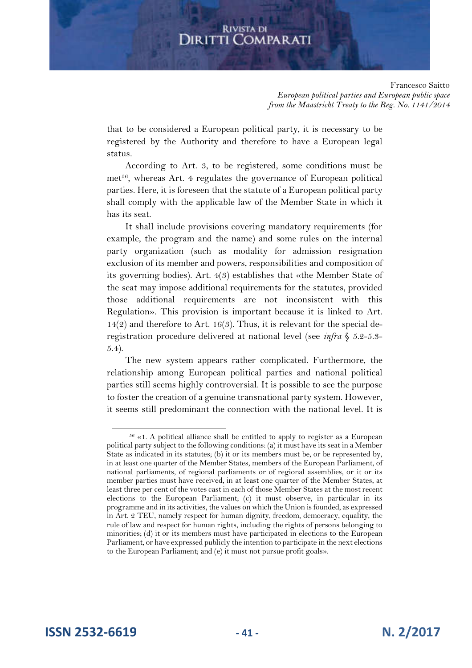Francesco Saitto *European political parties and European public space from the Maastricht Treaty to the Reg. No. 1141/2014*

that to be considered a European political party, it is necessary to be registered by the Authority and therefore to have a European legal status.

According to Art. 3, to be registered, some conditions must be met<sup>56</sup>, whereas Art. 4 regulates the governance of European political parties. Here, it is foreseen that the statute of a European political party shall comply with the applicable law of the Member State in which it has its seat.

It shall include provisions covering mandatory requirements (for example, the program and the name) and some rules on the internal party organization (such as modality for admission resignation exclusion of its member and powers, responsibilities and composition of its governing bodies). Art. 4(3) establishes that «the Member State of the seat may impose additional requirements for the statutes, provided those additional requirements are not inconsistent with this Regulation». This provision is important because it is linked to Art. 14(2) and therefore to Art. 16(3). Thus, it is relevant for the special deregistration procedure delivered at national level (see *infra* § 5.2-5.3- 5.4).

The new system appears rather complicated. Furthermore, the relationship among European political parties and national political parties still seems highly controversial. It is possible to see the purpose to foster the creation of a genuine transnational party system. However, it seems still predominant the connection with the national level. It is

 $56 \times 1$ . A political alliance shall be entitled to apply to register as a European political party subject to the following conditions: (a) it must have its seat in a Member State as indicated in its statutes; (b) it or its members must be, or be represented by, in at least one quarter of the Member States, members of the European Parliament, of national parliaments, of regional parliaments or of regional assemblies, or it or its member parties must have received, in at least one quarter of the Member States, at least three per cent of the votes cast in each of those Member States at the most recent elections to the European Parliament; (c) it must observe, in particular in its programme and in its activities, the values on which the Union is founded, as expressed in Art. 2 TEU, namely respect for human dignity, freedom, democracy, equality, the rule of law and respect for human rights, including the rights of persons belonging to minorities; (d) it or its members must have participated in elections to the European Parliament, or have expressed publicly the intention to participate in the next elections to the European Parliament; and (e) it must not pursue profit goals».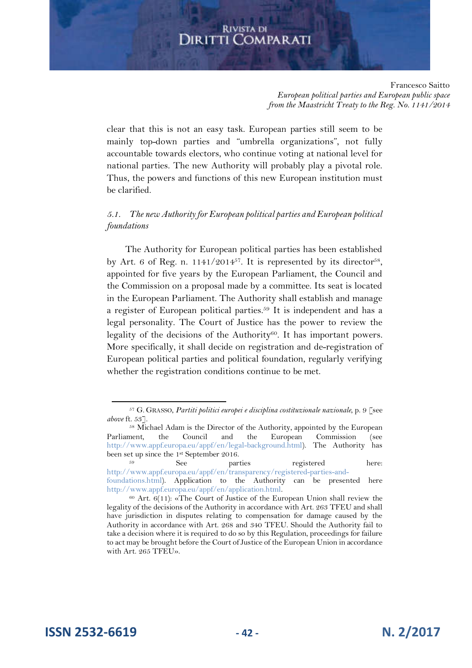Francesco Saitto *European political parties and European public space from the Maastricht Treaty to the Reg. No. 1141/2014*

clear that this is not an easy task. European parties still seem to be mainly top-down parties and "umbrella organizations", not fully accountable towards electors, who continue voting at national level for national parties. The new Authority will probably play a pivotal role. Thus, the powers and functions of this new European institution must be clarified.

*5.1. The new Authority for European political parties and European political foundations*

The Authority for European political parties has been established by Art. 6 of Reg. n.  $1141/2014^{57}$ . It is represented by its director<sup>58</sup>, appointed for five years by the European Parliament, the Council and the Commission on a proposal made by a committee. Its seat is located in the European Parliament. The Authority shall establish and manage a register of European political parties.<sup>59</sup> It is independent and has a legal personality. The Court of Justice has the power to review the legality of the decisions of the Authority<sup>60</sup>. It has important powers. More specifically, it shall decide on registration and de-registration of European political parties and political foundation, regularly verifying whether the registration conditions continue to be met.

<sup>57</sup> G. GRASSO, *Partiti politici europei e disciplina costituzionale nazionale*, p. 9 [see *above* ft. 53].

<sup>58</sup> Michael Adam is the Director of the Authority, appointed by the European Parliament, the Council and the European Commission (see http://www.appf.europa.eu/appf/en/legal-background.html). The Authority has been set up since the 1<sup>st</sup> September 2016.<br>See parties

<sup>&</sup>lt;sup>59</sup> See parties registered here: http://www.appf.europa.eu/appf/en/transparency/registered-parties-and-

foundations.html). Application to the Authority can be presented here http://www.appf.europa.eu/appf/en/application.html.

<sup>60</sup> Art. 6(11): «The Court of Justice of the European Union shall review the legality of the decisions of the Authority in accordance with Art. 263 TFEU and shall have jurisdiction in disputes relating to compensation for damage caused by the Authority in accordance with Art. 268 and 340 TFEU. Should the Authority fail to take a decision where it is required to do so by this Regulation, proceedings for failure to act may be brought before the Court of Justice of the European Union in accordance with Art. 265 TFEU».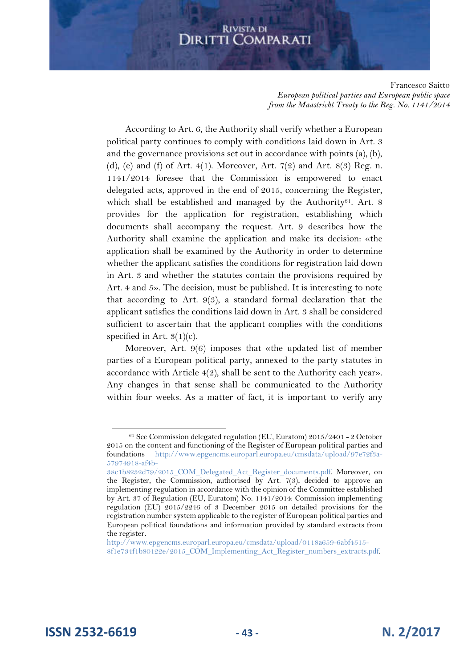Francesco Saitto *European political parties and European public space from the Maastricht Treaty to the Reg. No. 1141/2014*

According to Art. 6, the Authority shall verify whether a European political party continues to comply with conditions laid down in Art. 3 and the governance provisions set out in accordance with points (a), (b), (d), (e) and (f) of Art. 4(1). Moreover, Art. 7(2) and Art. 8(3) Reg. n. 1141/2014 foresee that the Commission is empowered to enact delegated acts, approved in the end of 2015, concerning the Register, which shall be established and managed by the Authority<sup>61</sup>. Art. 8 provides for the application for registration, establishing which documents shall accompany the request. Art. 9 describes how the Authority shall examine the application and make its decision: «the application shall be examined by the Authority in order to determine whether the applicant satisfies the conditions for registration laid down in Art. 3 and whether the statutes contain the provisions required by Art. 4 and 5». The decision, must be published. It is interesting to note that according to Art. 9(3), a standard formal declaration that the applicant satisfies the conditions laid down in Art. 3 shall be considered sufficient to ascertain that the applicant complies with the conditions specified in Art.  $3(1)(c)$ .

Moreover, Art. 9(6) imposes that «the updated list of member parties of a European political party, annexed to the party statutes in accordance with Article 4(2), shall be sent to the Authority each year». Any changes in that sense shall be communicated to the Authority within four weeks. As a matter of fact, it is important to verify any

**ISSN 2532-6619 - 43 - N. 2/2017**

 $61$  See Commission delegated regulation (EU, Euratom) 2015/2401 - 2 October 2015 on the content and functioning of the Register of European political parties and foundations http://www.epgencms.europarl.europa.eu/cmsdata/upload/97e72f3a-57974918-af4b-

<sup>38</sup>c1b8232d79/2015\_COM\_Delegated\_Act\_Register\_documents.pdf. Moreover, on the Register, the Commission, authorised by Art.  $7(3)$ , decided to approve an implementing regulation in accordance with the opinion of the Committee established by Art. 37 of Regulation (EU, Euratom) No. 1141/2014: Commission implementing regulation (EU) 2015/2246 of 3 December 2015 on detailed provisions for the registration number system applicable to the register of European political parties and European political foundations and information provided by standard extracts from the register.

http://www.epgencms.europarl.europa.eu/cmsdata/upload/0118a659-6abf4515- 8f1e734f1b80122e/2015\_COM\_Implementing\_Act\_Register\_numbers\_extracts.pdf.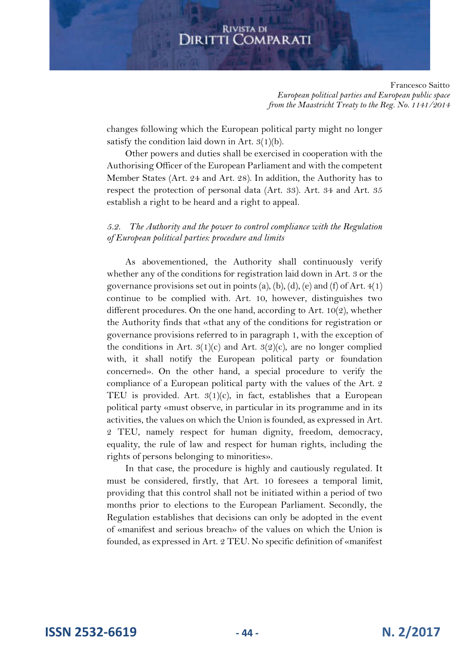Francesco Saitto *European political parties and European public space from the Maastricht Treaty to the Reg. No. 1141/2014*

changes following which the European political party might no longer satisfy the condition laid down in Art.  $3(1)(b)$ .

Other powers and duties shall be exercised in cooperation with the Authorising Officer of the European Parliament and with the competent Member States (Art. 24 and Art. 28). In addition, the Authority has to respect the protection of personal data (Art. 33). Art. 34 and Art. 35 establish a right to be heard and a right to appeal.

#### *5.2. The Authority and the power to control compliance with the Regulation of European political parties: procedure and limits*

As abovementioned, the Authority shall continuously verify whether any of the conditions for registration laid down in Art. 3 or the governance provisions set out in points (a), (b), (d), (e) and (f) of Art.  $4(1)$ continue to be complied with. Art. 10, however, distinguishes two different procedures. On the one hand, according to Art. 10(2), whether the Authority finds that «that any of the conditions for registration or governance provisions referred to in paragraph 1, with the exception of the conditions in Art.  $3(1)(c)$  and Art.  $3(2)(c)$ , are no longer complied with, it shall notify the European political party or foundation concerned». On the other hand, a special procedure to verify the compliance of a European political party with the values of the Art. 2 TEU is provided. Art.  $3(1)(c)$ , in fact, establishes that a European political party «must observe, in particular in its programme and in its activities, the values on which the Union is founded, as expressed in Art. 2 TEU, namely respect for human dignity, freedom, democracy, equality, the rule of law and respect for human rights, including the rights of persons belonging to minorities».

In that case, the procedure is highly and cautiously regulated. It must be considered, firstly, that Art. 10 foresees a temporal limit, providing that this control shall not be initiated within a period of two months prior to elections to the European Parliament. Secondly, the Regulation establishes that decisions can only be adopted in the event of «manifest and serious breach» of the values on which the Union is founded, as expressed in Art. 2 TEU. No specific definition of «manifest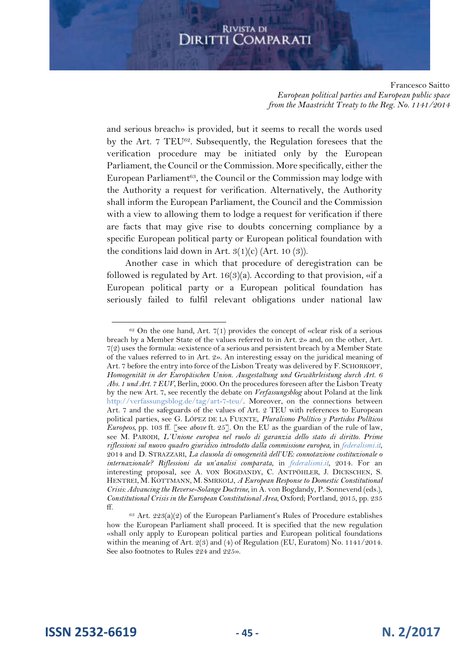Francesco Saitto *European political parties and European public space from the Maastricht Treaty to the Reg. No. 1141/2014*

and serious breach» is provided, but it seems to recall the words used by the Art. 7 TEU<sup>62</sup>. Subsequently, the Regulation foresees that the verification procedure may be initiated only by the European Parliament, the Council or the Commission. More specifically, either the European Parliament<sup>63</sup>, the Council or the Commission may lodge with the Authority a request for verification. Alternatively, the Authority shall inform the European Parliament, the Council and the Commission with a view to allowing them to lodge a request for verification if there are facts that may give rise to doubts concerning compliance by a specific European political party or European political foundation with the conditions laid down in Art.  $3(1)(c)$  (Art. 10 (3)).

Another case in which that procedure of deregistration can be followed is regulated by Art.  $16(3)(a)$ . According to that provision, «if a European political party or a European political foundation has seriously failed to fulfil relevant obligations under national law

**ISSN 2532-6619 - 45 - N. 2/2017**

 $62$  On the one hand, Art. 7(1) provides the concept of «clear risk of a serious breach by a Member State of the values referred to in Art. 2» and, on the other, Art. 7(2) uses the formula: «existence of a serious and persistent breach by a Member State of the values referred to in Art. 2». An interesting essay on the juridical meaning of Art. 7 before the entry into force of the Lisbon Treaty was delivered by F. SCHORKOPF, *Homogenität in der Europäischen Union. Ausgestaltung und Gewährleistung durch Art. 6 Abs. 1 und Art. 7 EUV*, Berlin, 2000. On the procedures foreseen after the Lisbon Treaty by the new Art. 7, see recently the debate on *Verfassungsblog* about Poland at the link http://verfassungsblog.de/tag/art-7-teu/. Moreover, on the connections between Art. 7 and the safeguards of the values of Art. 2 TEU with references to European political parties, see G. LÓPEZ DE LA FUENTE, *Pluralismo Político y Partidos Políticos Europeos*, pp. 103 ff. [see *above* ft. 25]. On the EU as the guardian of the rule of law, see M. PARODI, *L'Unione europea nel ruolo di garanzia dello stato di diritto. Prime riflessioni sul nuovo quadro giuridico introdotto dalla commissione europea*, in *federalismi.it*, 2014 and D. STRAZZARI, *La clausola di omogeneità dell'UE: connotazione costituzionale o internazionale? Riflessioni da un'analisi comparata*, in *federalismi.it*, 2014. For an interesting proposal, see A. VON BOGDANDY, C. ANTPÖHLER, J. DICKSCHEN, S. HENTREI, M. KOTTMANN, M. SMRKOLJ, *A European Response to Domestic Constitutional Crisis: Advancing the Reverse-Solange Doctrine,* in A. von Bogdandy, P. Sonnevend (eds.), *Constitutional Crisis in the European Constitutional Area*, Oxford; Portland, 2015, pp. 235 ff.

 $63$  Art.  $223(a)(2)$  of the European Parliament's Rules of Procedure establishes how the European Parliament shall proceed. It is specified that the new regulation «shall only apply to European political parties and European political foundations within the meaning of Art.  $2(3)$  and  $(4)$  of Regulation (EU, Euratom) No. 1141/2014. See also footnotes to Rules 224 and 225».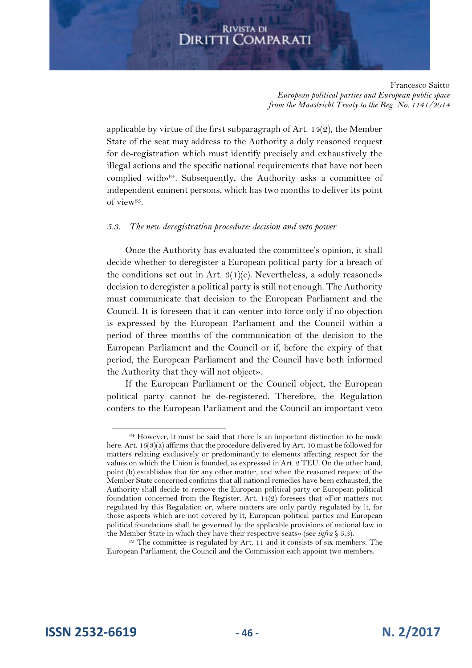Francesco Saitto *European political parties and European public space from the Maastricht Treaty to the Reg. No. 1141/2014*

applicable by virtue of the first subparagraph of Art. 14(2), the Member State of the seat may address to the Authority a duly reasoned request for de-registration which must identify precisely and exhaustively the illegal actions and the specific national requirements that have not been complied with»<sup>64</sup>. Subsequently, the Authority asks a committee of independent eminent persons, which has two months to deliver its point of view $65$ .

#### *5.3. The new deregistration procedure: decision and veto power*

Once the Authority has evaluated the committee's opinion, it shall decide whether to deregister a European political party for a breach of the conditions set out in Art.  $3(1)(c)$ . Nevertheless, a «duly reasoned» decision to deregister a political party is still not enough. The Authority must communicate that decision to the European Parliament and the Council. It is foreseen that it can «enter into force only if no objection is expressed by the European Parliament and the Council within a period of three months of the communication of the decision to the European Parliament and the Council or if, before the expiry of that period, the European Parliament and the Council have both informed the Authority that they will not object».

If the European Parliament or the Council object, the European political party cannot be de-registered. Therefore, the Regulation confers to the European Parliament and the Council an important veto

<sup>64</sup> However, it must be said that there is an important distinction to be made here. Art. 16(3)(a) affirms that the procedure delivered by Art. 10 must be followed for matters relating exclusively or predominantly to elements affecting respect for the values on which the Union is founded, as expressed in Art. 2 TEU. On the other hand, point (b) establishes that for any other matter, and when the reasoned request of the Member State concerned confirms that all national remedies have been exhausted, the Authority shall decide to remove the European political party or European political foundation concerned from the Register. Art. 14(2) foresees that «For matters not regulated by this Regulation or, where matters are only partly regulated by it, for those aspects which are not covered by it, European political parties and European political foundations shall be governed by the applicable provisions of national law in the Member State in which they have their respective seats» (see *infra* § 5.3).

<sup>&</sup>lt;sup>65</sup> The committee is regulated by Art. 11 and it consists of six members. The European Parliament, the Council and the Commission each appoint two members.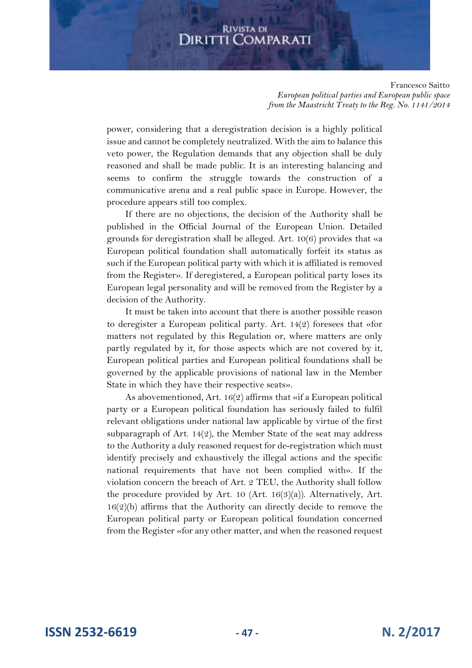Francesco Saitto *European political parties and European public space from the Maastricht Treaty to the Reg. No. 1141/2014*

power, considering that a deregistration decision is a highly political issue and cannot be completely neutralized. With the aim to balance this veto power, the Regulation demands that any objection shall be duly reasoned and shall be made public. It is an interesting balancing and seems to confirm the struggle towards the construction of a communicative arena and a real public space in Europe. However, the procedure appears still too complex.

If there are no objections, the decision of the Authority shall be published in the Official Journal of the European Union. Detailed grounds for deregistration shall be alleged. Art. 10(6) provides that «a European political foundation shall automatically forfeit its status as such if the European political party with which it is affiliated is removed from the Register». If deregistered, a European political party loses its European legal personality and will be removed from the Register by a decision of the Authority.

It must be taken into account that there is another possible reason to deregister a European political party. Art. 14(2) foresees that «for matters not regulated by this Regulation or, where matters are only partly regulated by it, for those aspects which are not covered by it, European political parties and European political foundations shall be governed by the applicable provisions of national law in the Member State in which they have their respective seats».

As abovementioned, Art. 16(2) affirms that «if a European political party or a European political foundation has seriously failed to fulfil relevant obligations under national law applicable by virtue of the first subparagraph of Art. 14 $(2)$ , the Member State of the seat may address to the Authority a duly reasoned request for de-registration which must identify precisely and exhaustively the illegal actions and the specific national requirements that have not been complied with». If the violation concern the breach of Art. 2 TEU, the Authority shall follow the procedure provided by Art. 10 (Art. 16(3)(a)). Alternatively, Art. 16(2)(b) affirms that the Authority can directly decide to remove the European political party or European political foundation concerned from the Register «for any other matter, and when the reasoned request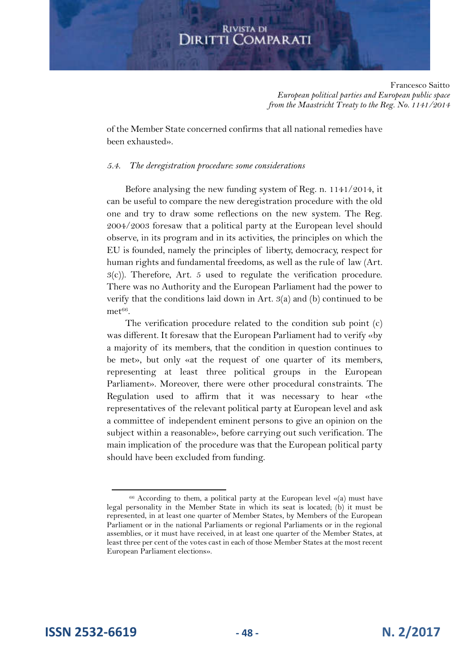Francesco Saitto *European political parties and European public space from the Maastricht Treaty to the Reg. No. 1141/2014*

of the Member State concerned confirms that all national remedies have been exhausted».

#### *5.4. The deregistration procedure: some considerations*

Before analysing the new funding system of Reg. n. 1141/2014, it can be useful to compare the new deregistration procedure with the old one and try to draw some reflections on the new system. The Reg. 2004/2003 foresaw that a political party at the European level should observe, in its program and in its activities, the principles on which the EU is founded, namely the principles of liberty, democracy, respect for human rights and fundamental freedoms, as well as the rule of law (Art.  $3(c)$ ). Therefore, Art. 5 used to regulate the verification procedure. There was no Authority and the European Parliament had the power to verify that the conditions laid down in Art. 3(a) and (b) continued to be  $met^{66}$ .

The verification procedure related to the condition sub point (c) was different. It foresaw that the European Parliament had to verify «by a majority of its members, that the condition in question continues to be met», but only «at the request of one quarter of its members, representing at least three political groups in the European Parliament». Moreover, there were other procedural constraints. The Regulation used to affirm that it was necessary to hear «the representatives of the relevant political party at European level and ask a committee of independent eminent persons to give an opinion on the subject within a reasonable», before carrying out such verification. The main implication of the procedure was that the European political party should have been excluded from funding.

 $66$  According to them, a political party at the European level «(a) must have legal personality in the Member State in which its seat is located; (b) it must be represented, in at least one quarter of Member States, by Members of the European Parliament or in the national Parliaments or regional Parliaments or in the regional assemblies, or it must have received, in at least one quarter of the Member States, at least three per cent of the votes cast in each of those Member States at the most recent European Parliament elections».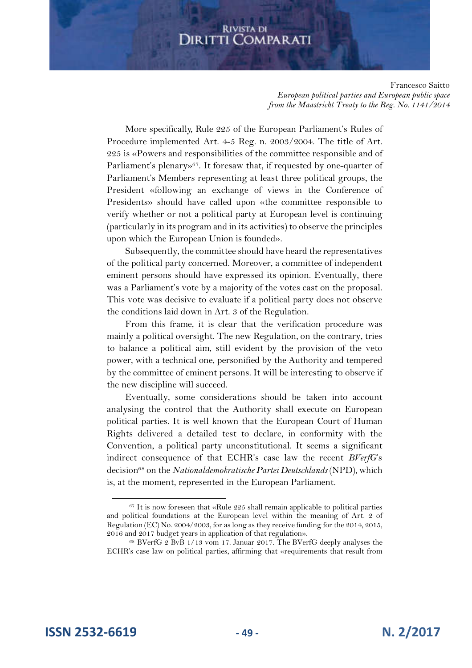Francesco Saitto *European political parties and European public space from the Maastricht Treaty to the Reg. No. 1141/2014*

More specifically, Rule 225 of the European Parliament's Rules of Procedure implemented Art. 4-5 Reg. n. 2003/2004. The title of Art. 225 is «Powers and responsibilities of the committee responsible and of Parliament's plenary»<sup>67</sup>. It foresaw that, if requested by one-quarter of Parliament's Members representing at least three political groups, the President «following an exchange of views in the Conference of Presidents» should have called upon «the committee responsible to verify whether or not a political party at European level is continuing (particularly in its program and in its activities) to observe the principles upon which the European Union is founded».

Subsequently, the committee should have heard the representatives of the political party concerned. Moreover, a committee of independent eminent persons should have expressed its opinion. Eventually, there was a Parliament's vote by a majority of the votes cast on the proposal. This vote was decisive to evaluate if a political party does not observe the conditions laid down in Art. 3 of the Regulation.

From this frame, it is clear that the verification procedure was mainly a political oversight. The new Regulation, on the contrary, tries to balance a political aim, still evident by the provision of the veto power, with a technical one, personified by the Authority and tempered by the committee of eminent persons. It will be interesting to observe if the new discipline will succeed.

Eventually, some considerations should be taken into account analysing the control that the Authority shall execute on European political parties. It is well known that the European Court of Human Rights delivered a detailed test to declare, in conformity with the Convention, a political party unconstitutional. It seems a significant indirect consequence of that ECHR's case law the recent *BVerfG*'s decision<sup>68</sup> on the *Nationaldemokratische Partei Deutschlands* (NPD), which is, at the moment, represented in the European Parliament.

**ISSN 2532-6619 - 49 - N. 2/2017**

<sup>&</sup>lt;sup>67</sup> It is now foreseen that «Rule 225 shall remain applicable to political parties and political foundations at the European level within the meaning of Art. 2 of Regulation (EC) No. 2004/2003, for as long as they receive funding for the 2014, 2015, 2016 and 2017 budget years in application of that regulation».

<sup>68</sup> BVerfG 2 BvB 1/13 vom 17. Januar 2017. The BVerfG deeply analyses the ECHR's case law on political parties, affirming that «requirements that result from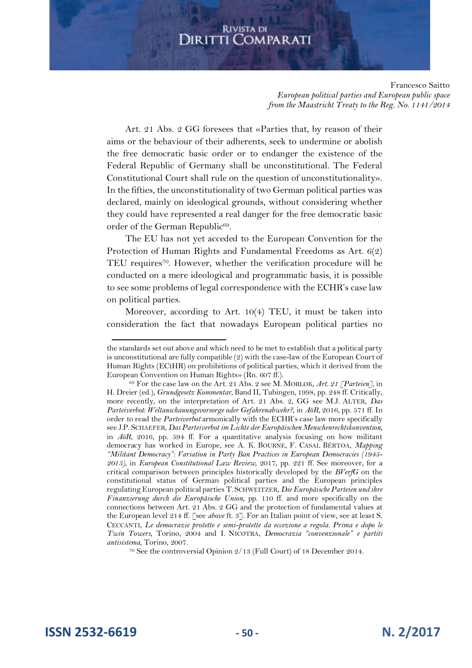Francesco Saitto *European political parties and European public space from the Maastricht Treaty to the Reg. No. 1141/2014*

Art. 21 Abs. 2 GG foresees that «Parties that, by reason of their aims or the behaviour of their adherents, seek to undermine or abolish the free democratic basic order or to endanger the existence of the Federal Republic of Germany shall be unconstitutional. The Federal Constitutional Court shall rule on the question of unconstitutionality». In the fifties, the unconstitutionality of two German political parties was declared, mainly on ideological grounds, without considering whether they could have represented a real danger for the free democratic basic order of the German Republic<sup>69</sup>.

The EU has not yet acceded to the European Convention for the Protection of Human Rights and Fundamental Freedoms as Art. 6(2) TEU requires<sup>70</sup>. However, whether the verification procedure will be conducted on a mere ideological and programmatic basis, it is possible to see some problems of legal correspondence with the ECHR's case law on political parties.

Moreover, according to Art. 10(4) TEU, it must be taken into consideration the fact that nowadays European political parties no

the standards set out above and which need to be met to establish that a political party is unconstitutional are fully compatible (2) with the case-law of the European Court of Human Rights (ECtHR) on prohibitions of political parties, which it derived from the European Convention on Human Rights» (Rn. 607 ff.).

<sup>69</sup> For the case law on the Art. 21 Abs. 2 see M. MORLOK, *Art. 21 [Parteien]*, in H. Dreier (ed.), *Grundgesetz Kommentar*, Band II, Tubingen, 1998, pp. 248 ff. Critically, more recently, on the interpretation of Art. 21 Abs. 2, GG see M.J. ALTER, *Das Parteiverbot: Weltanschauungsvorsorge oder Gefahrenabwehr?*, in *AöR*, 2016, pp. 571 ff. In order to read the *Parteiverbot* armonically with the ECHR's case law more specifically see J.P. SCHAEFER, *Das Parteiverbot im Lichte der Europäischen Menschenrechtskonvention*, in *AöR*, 2016, pp. 594 ff. For a quantitative analysis focusing on how militant democracy has worked in Europe, see A. K. BOURNE, F. CASAL BÉRTOA, *Mapping "Militant Democracy": Variation in Party Ban Practices in European Democracies (1945- 2015)*, in *European Constitutional Law Review*, 2017, pp. 221 ff. See moreover, for a critical comparison between principles historically developed by the *BVerfG* on the constitutional status of German political parties and the European principles regulating European political parties T. SCHWEITZER, *Die Europäische Parteien und ihre Finanzierung durch die Europäische Union*, pp. 110 ff. and more specifically on the connections between Art. 21 Abs. 2 GG and the protection of fundamental values at the European level 214 ff. [see *above* ft. 3]. For an Italian point of view, see at least S. CECCANTI, *Le democrazie protette e semi-protette da eccezione a regola. Prima e dopo le Twin Towers*, Torino, 2004 and I. NICOTRA, *Democrazia "convenzionale" e partiti antisistema*, Torino, 2007.

<sup>70</sup> See the controversial Opinion 2/13 (Full Court) of 18 December 2014.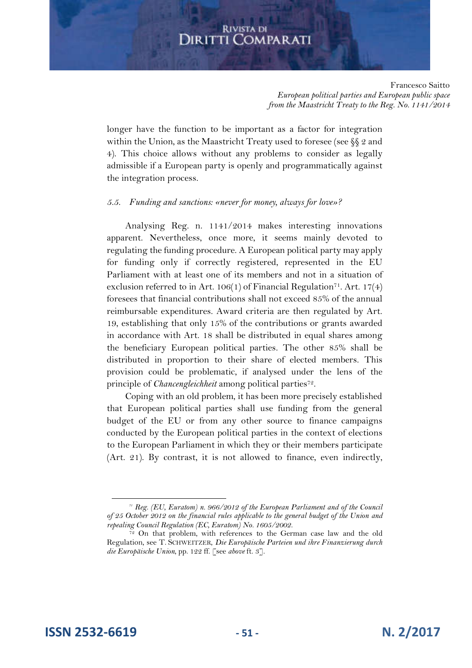Francesco Saitto *European political parties and European public space from the Maastricht Treaty to the Reg. No. 1141/2014*

longer have the function to be important as a factor for integration within the Union, as the Maastricht Treaty used to foresee (see  $\S$  2 and 4). This choice allows without any problems to consider as legally admissible if a European party is openly and programmatically against the integration process.

#### *5.5. Funding and sanctions: «never for money, always for love»?*

Analysing Reg. n. 1141/2014 makes interesting innovations apparent. Nevertheless, once more, it seems mainly devoted to regulating the funding procedure. A European political party may apply for funding only if correctly registered, represented in the EU Parliament with at least one of its members and not in a situation of exclusion referred to in Art. 106(1) of Financial Regulation<sup>71</sup>. Art. 17(4) foresees that financial contributions shall not exceed 85% of the annual reimbursable expenditures. Award criteria are then regulated by Art. 19, establishing that only 15% of the contributions or grants awarded in accordance with Art. 18 shall be distributed in equal shares among the beneficiary European political parties. The other 85% shall be distributed in proportion to their share of elected members. This provision could be problematic, if analysed under the lens of the principle of *Chancengleichheit* among political parties<sup>72</sup> .

Coping with an old problem, it has been more precisely established that European political parties shall use funding from the general budget of the EU or from any other source to finance campaigns conducted by the European political parties in the context of elections to the European Parliament in which they or their members participate (Art. 21). By contrast, it is not allowed to finance, even indirectly,

*<sup>71</sup> Reg. (EU, Euratom) n. 966/2012 of the European Parliament and of the Council of 25 October 2012 on the financial rules applicable to the general budget of the Union and repealing Council Regulation (EC, Euratom) No. 1605/2002.*

<sup>&</sup>lt;sup>72</sup> On that problem, with references to the German case law and the old Regulation, see T. SCHWEITZER, *Die Europäische Parteien und ihre Finanzierung durch die Europäische Union*, pp. 122 ff. [see *above* ft. 3].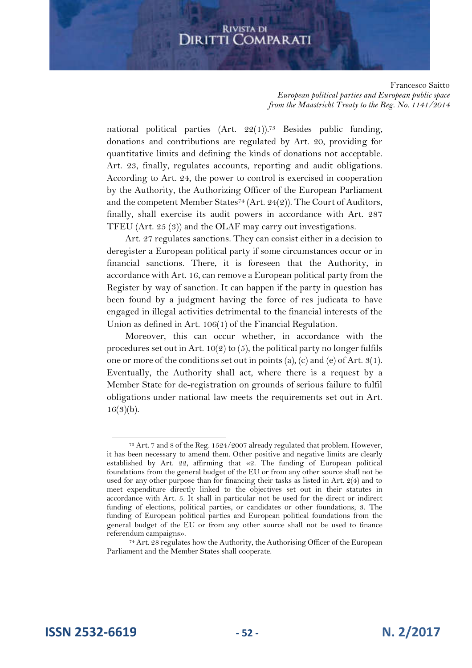Francesco Saitto *European political parties and European public space from the Maastricht Treaty to the Reg. No. 1141/2014*

national political parties  $(Art. 22(1))$ .<sup>73</sup> Besides public funding, donations and contributions are regulated by Art. 20, providing for quantitative limits and defining the kinds of donations not acceptable. Art. 23, finally, regulates accounts, reporting and audit obligations. According to Art. 24, the power to control is exercised in cooperation by the Authority, the Authorizing Officer of the European Parliament and the competent Member States<sup>74</sup> (Art. 24(2)). The Court of Auditors, finally, shall exercise its audit powers in accordance with Art. 287 TFEU (Art. 25 (3)) and the OLAF may carry out investigations.

Art. 27 regulates sanctions. They can consist either in a decision to deregister a European political party if some circumstances occur or in financial sanctions. There, it is foreseen that the Authority, in accordance with Art. 16, can remove a European political party from the Register by way of sanction. It can happen if the party in question has been found by a judgment having the force of res judicata to have engaged in illegal activities detrimental to the financial interests of the Union as defined in Art. 106(1) of the Financial Regulation.

Moreover, this can occur whether, in accordance with the procedures set out in Art.  $10(2)$  to (5), the political party no longer fulfils one or more of the conditions set out in points (a), (c) and (e) of Art.  $3(1)$ . Eventually, the Authority shall act, where there is a request by a Member State for de-registration on grounds of serious failure to fulfil obligations under national law meets the requirements set out in Art.  $16(3)(b)$ .

<sup>73</sup> Art. 7 and 8 of the Reg. 1524/2007 already regulated that problem. However, it has been necessary to amend them. Other positive and negative limits are clearly established by Art. 22, affirming that «2. The funding of European political foundations from the general budget of the EU or from any other source shall not be used for any other purpose than for financing their tasks as listed in Art. 2(4) and to meet expenditure directly linked to the objectives set out in their statutes in accordance with Art. 5. It shall in particular not be used for the direct or indirect funding of elections, political parties, or candidates or other foundations; 3. The funding of European political parties and European political foundations from the general budget of the EU or from any other source shall not be used to finance referendum campaigns».

<sup>74</sup> Art. 28 regulates how the Authority, the Authorising Officer of the European Parliament and the Member States shall cooperate.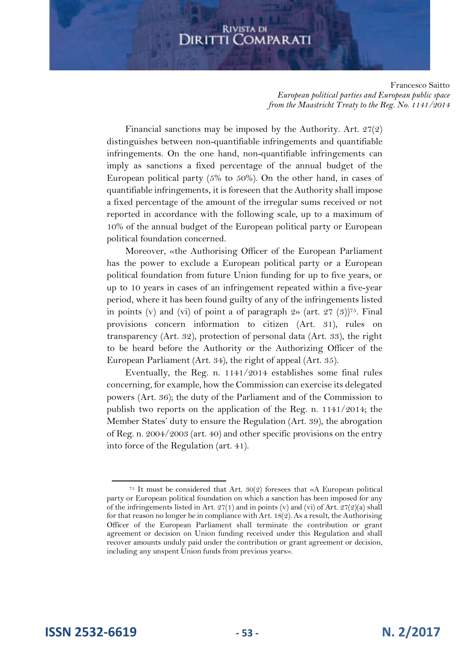Francesco Saitto *European political parties and European public space from the Maastricht Treaty to the Reg. No. 1141/2014*

Financial sanctions may be imposed by the Authority. Art. 27(2) distinguishes between non-quantifiable infringements and quantifiable infringements. On the one hand, non-quantifiable infringements can imply as sanctions a fixed percentage of the annual budget of the European political party (5% to 50%). On the other hand, in cases of quantifiable infringements, it is foreseen that the Authority shall impose a fixed percentage of the amount of the irregular sums received or not reported in accordance with the following scale, up to a maximum of 10% of the annual budget of the European political party or European political foundation concerned.

Moreover, «the Authorising Officer of the European Parliament has the power to exclude a European political party or a European political foundation from future Union funding for up to five years, or up to 10 years in cases of an infringement repeated within a five-year period, where it has been found guilty of any of the infringements listed in points (v) and (vi) of point a of paragraph  $2$ » (art. 27 (3))<sup>75</sup>. Final provisions concern information to citizen (Art. 31), rules on transparency (Art. 32), protection of personal data (Art. 33), the right to be heard before the Authority or the Authorizing Officer of the European Parliament (Art. 34), the right of appeal (Art. 35).

Eventually, the Reg. n. 1141/2014 establishes some final rules concerning, for example, how the Commission can exercise its delegated powers (Art. 36); the duty of the Parliament and of the Commission to publish two reports on the application of the Reg. n. 1141/2014; the Member States' duty to ensure the Regulation (Art. 39), the abrogation of Reg. n. 2004/2003 (art. 40) and other specific provisions on the entry into force of the Regulation (art. 41).

<sup>&</sup>lt;sup>75</sup> It must be considered that Art.  $30(2)$  foresees that «A European political party or European political foundation on which a sanction has been imposed for any of the infringements listed in Art.  $27(1)$  and in points (v) and (vi) of Art.  $27(2)(a)$  shall for that reason no longer be in compliance with Art. 18(2). As a result, the Authorising Officer of the European Parliament shall terminate the contribution or grant agreement or decision on Union funding received under this Regulation and shall recover amounts unduly paid under the contribution or grant agreement or decision, including any unspent Union funds from previous years».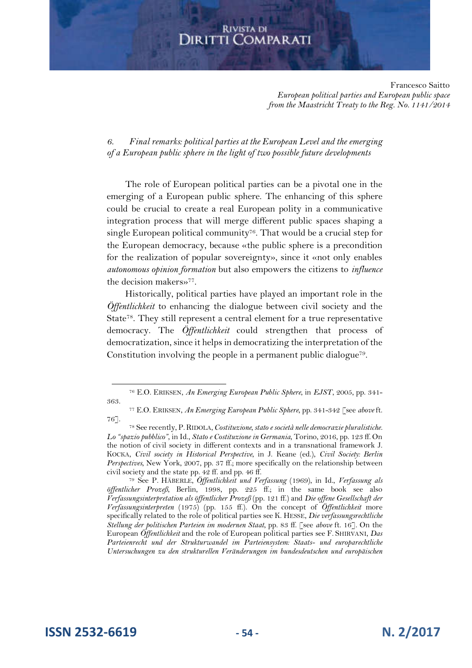Francesco Saitto *European political parties and European public space from the Maastricht Treaty to the Reg. No. 1141/2014*

*6. Final remarks: political parties at the European Level and the emerging of a European public sphere in the light of two possible future developments* 

The role of European political parties can be a pivotal one in the emerging of a European public sphere. The enhancing of this sphere could be crucial to create a real European polity in a communicative integration process that will merge different public spaces shaping a single European political community<sup>76</sup>. That would be a crucial step for the European democracy, because «the public sphere is a precondition for the realization of popular sovereignty», since it «not only enables *autonomous opinion formation* but also empowers the citizens to *influence* the decision makers»<sup>77</sup> .

Historically, political parties have played an important role in the *Öffentlichkeit* to enhancing the dialogue between civil society and the State<sup>78</sup>. They still represent a central element for a true representative democracy. The *Öffentlichkeit* could strengthen that process of democratization, since it helps in democratizing the interpretation of the Constitution involving the people in a permanent public dialogue<sup>79</sup> .

**ISSN 2532-6619 - 54 - N. 2/2017**

<sup>76</sup> E.O. ERIKSEN, *An Emerging European Public Sphere*, in *EJST*, 2005, pp. 341- 363.

<sup>77</sup> E.O. ERIKSEN, *An Emerging European Public Sphere*, pp. 341-342 [see *above* ft. 76].

<sup>78</sup> See recently, P.RIDOLA, *Costituzione, stato e società nelle democrazie pluralistiche. Lo "spazio pubblico"*, in Id., *Stato e Costituzione in Germania*, Torino, 2016, pp. 123 ff. On the notion of civil society in different contexts and in a transnational framework J. KOCKA, *Civil society in Historical Perspective*, in J. Keane (ed.), *Civil Society: Berlin Perspectives*, New York, 2007, pp. 37 ff.; more specifically on the relationship between civil society and the state pp. 42 ff. and pp. 46 ff.

<sup>79</sup> See P. HÄBERLE, *Öffentlichkeit und Verfassung* (1969), in Id., *Verfassung als öffentlicher Prozeß*, Berlin, 1998, pp. 225 ff.; in the same book see also *Verfassungsinterpretation als öffentlicher Prozeß* (pp. 121 ff.) and *Die offene Gesellschaft der Verfassungsinterpreten* (1975) (pp. 155 ff.). On the concept of *Öffentlichkeit* more specifically related to the role of political parties see K. HESSE, *Die verfassungsrechtliche Stellung der politischen Parteien im modernen Staat*, pp. 83 ff. [see *above* ft. 16]. On the European *Öffentlichkeit* and the role of European political parties see F. SHIRVANI, *Das Parteienrecht und der Strukturwandel im Parteiensystem: Staats- und europarechtliche Untersuchungen zu den strukturellen Veränderungen im bundesdeutschen und europäischen*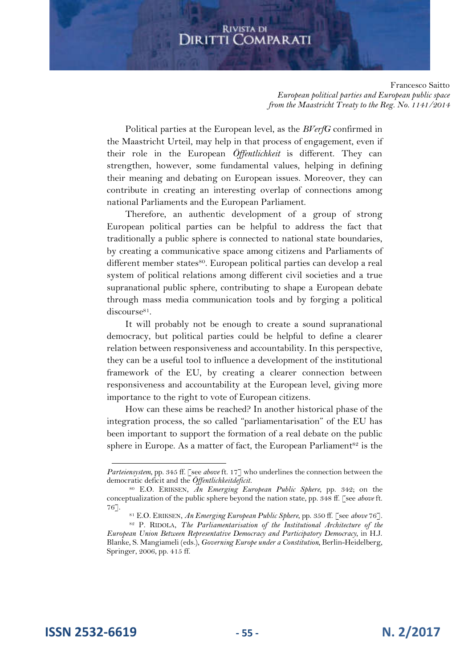Francesco Saitto *European political parties and European public space from the Maastricht Treaty to the Reg. No. 1141/2014*

Political parties at the European level, as the *BVerfG* confirmed in the Maastricht Urteil, may help in that process of engagement, even if their role in the European *Öffentlichkeit* is different. They can strengthen, however, some fundamental values, helping in defining their meaning and debating on European issues. Moreover, they can contribute in creating an interesting overlap of connections among national Parliaments and the European Parliament.

Therefore, an authentic development of a group of strong European political parties can be helpful to address the fact that traditionally a public sphere is connected to national state boundaries, by creating a communicative space among citizens and Parliaments of different member states<sup>80</sup>. European political parties can develop a real system of political relations among different civil societies and a true supranational public sphere, contributing to shape a European debate through mass media communication tools and by forging a political discourse<sup>81</sup>.

It will probably not be enough to create a sound supranational democracy, but political parties could be helpful to define a clearer relation between responsiveness and accountability. In this perspective, they can be a useful tool to influence a development of the institutional framework of the EU, by creating a clearer connection between responsiveness and accountability at the European level, giving more importance to the right to vote of European citizens.

How can these aims be reached? In another historical phase of the integration process, the so called "parliamentarisation" of the EU has been important to support the formation of a real debate on the public sphere in Europe. As a matter of fact, the European Parliament<sup>82</sup> is the

**ISSN 2532-6619 - 55 - N. 2/2017**

*Parteiensystem*, pp. 345 ff. [see *above* ft. 17] who underlines the connection between the democratic deficit and the *Öffentlichkeitdeficit.*

<sup>80</sup> E.O. ERIKSEN, *An Emerging European Public Sphere*, pp. 342; on the conceptualization of the public sphere beyond the nation state, pp. 348 ff. [see *above* ft. 76].

<sup>81</sup> E.O. ERIKSEN, *An Emerging European Public Sphere*, pp. 350 ff. [see *above* 76].

<sup>82</sup> P. RIDOLA, *The Parliamentarisation of the Institutional Architecture of the European Union Between Representative Democracy and Participatory Democracy*, in H.J. Blanke, S. Mangiameli (eds.), *Governing Europe under a Constitution*, Berlin-Heidelberg, Springer, 2006, pp. 415 ff.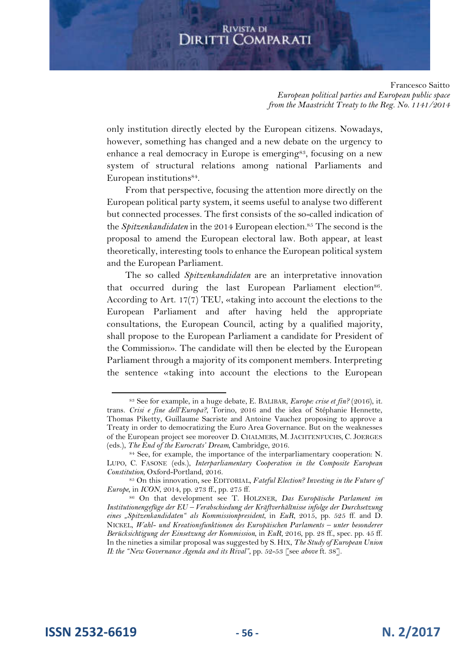Francesco Saitto *European political parties and European public space from the Maastricht Treaty to the Reg. No. 1141/2014*

only institution directly elected by the European citizens. Nowadays, however, something has changed and a new debate on the urgency to enhance a real democracy in Europe is emerging<sup>83</sup>, focusing on a new system of structural relations among national Parliaments and European institutions<sup>84</sup> .

From that perspective, focusing the attention more directly on the European political party system, it seems useful to analyse two different but connected processes. The first consists of the so-called indication of the *Spitzenkandidaten* in the 2014 European election.<sup>85</sup> The second is the proposal to amend the European electoral law. Both appear, at least theoretically, interesting tools to enhance the European political system and the European Parliament.

The so called *Spitzenkandidaten* are an interpretative innovation that occurred during the last European Parliament election<sup>86</sup>. According to Art. 17(7) TEU, «taking into account the elections to the European Parliament and after having held the appropriate consultations, the European Council, acting by a qualified majority, shall propose to the European Parliament a candidate for President of the Commission». The candidate will then be elected by the European Parliament through a majority of its component members. Interpreting the sentence «taking into account the elections to the European

<sup>&</sup>lt;sup>83</sup> See for example, in a huge debate, E. BALIBAR, *Europe: crise et fin?* (2016), it. trans. *Crisi e fine dell'Europa?*, Torino, 2016 and the idea of Stéphanie Hennette, Thomas Piketty, Guillaume Sacriste and Antoine Vauchez proposing to approve a Treaty in order to democratizing the Euro Area Governance. But on the weaknesses of the European project see moreover D. CHALMERS, M. JACHTENFUCHS, C. JOERGES (eds.), *The End of the Eurocrats' Dream*, Cambridge, 2016.

<sup>84</sup> See, for example, the importance of the interparliamentary cooperation: N. LUPO, C. FASONE (eds.), *Interparliamentary Cooperation in the Composite European Constitution*, Oxford-Portland, 2016.

<sup>85</sup> On this innovation, see EDITORIAL*, Fateful Election? Investing in the Future of Europe*, in *ICON*, 2014, pp. 273 ff., pp. 275 ff.

<sup>86</sup> On that development see T. HOLZNER, *Das Europäische Parlament im Institutionengefüge der EU – Verabschiedung der Kräftverhältnisse infolge der Durchsetzung eines "Spitzenkandidaten" als Kommissionpresident*, in *EuR*, 2015, pp. 525 ff. and D. NICKEL, *Wahl- und Kreationsfunktionen des Europäischen Parlaments – unter besonderer Berücksichtigung der Einsetzung der Kommission*, in *EuR*, 2016, pp. 28 ff., spec. pp. 45 ff. In the nineties a similar proposal was suggested by S. HIX, *The Study of European Union II: the "New Governance Agenda and its Rival"*, pp. 52-53 [see *above* ft. 38].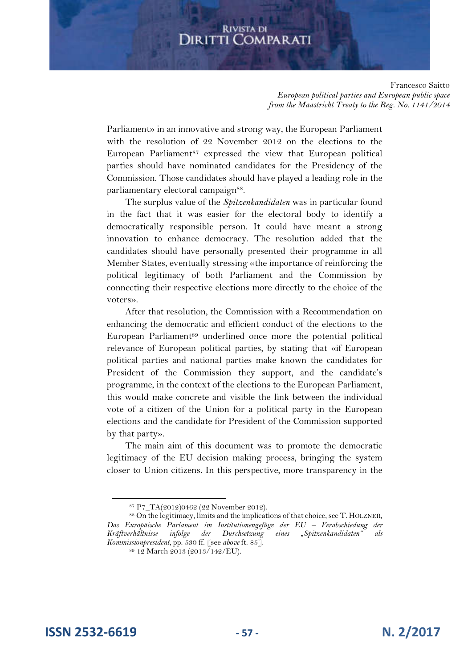Francesco Saitto *European political parties and European public space from the Maastricht Treaty to the Reg. No. 1141/2014*

Parliament» in an innovative and strong way, the European Parliament with the resolution of 22 November 2012 on the elections to the European Parliament<sup>87</sup> expressed the view that European political parties should have nominated candidates for the Presidency of the Commission. Those candidates should have played a leading role in the parliamentary electoral campaign<sup>88</sup>.

The surplus value of the *Spitzenkandidaten* was in particular found in the fact that it was easier for the electoral body to identify a democratically responsible person. It could have meant a strong innovation to enhance democracy. The resolution added that the candidates should have personally presented their programme in all Member States, eventually stressing «the importance of reinforcing the political legitimacy of both Parliament and the Commission by connecting their respective elections more directly to the choice of the voters».

After that resolution, the Commission with a Recommendation on enhancing the democratic and efficient conduct of the elections to the European Parliament<sup>89</sup> underlined once more the potential political relevance of European political parties, by stating that «if European political parties and national parties make known the candidates for President of the Commission they support, and the candidate's programme, in the context of the elections to the European Parliament, this would make concrete and visible the link between the individual vote of a citizen of the Union for a political party in the European elections and the candidate for President of the Commission supported by that party».

The main aim of this document was to promote the democratic legitimacy of the EU decision making process, bringing the system closer to Union citizens. In this perspective, more transparency in the

**ISSN 2532-6619 - 57 - N. 2/2017**

<sup>87</sup> P7\_TA(2012)0462 (22 November 2012).

<sup>88</sup> On the legitimacy, limits and the implications of that choice, see T. HOLZNER, *Das Europäische Parlament im Institutionengefüge der EU – Verabschiedung der Kräftverhältnisse infolge der Durchsetzung eines "Spitzenkandidaten" als Kommissionpresident*, pp. 530 ff. [see *above* ft. 85].

<sup>89</sup> 12 March 2013 (2013/142/EU).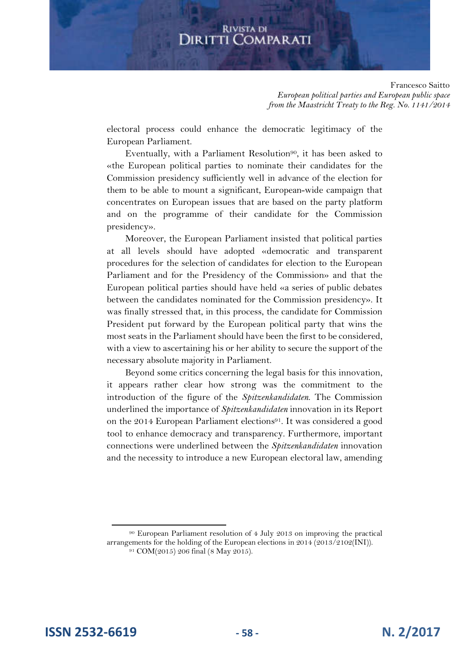Francesco Saitto *European political parties and European public space from the Maastricht Treaty to the Reg. No. 1141/2014*

electoral process could enhance the democratic legitimacy of the European Parliament.

Eventually, with a Parliament Resolution<sup>90</sup>, it has been asked to «the European political parties to nominate their candidates for the Commission presidency sufficiently well in advance of the election for them to be able to mount a significant, European-wide campaign that concentrates on European issues that are based on the party platform and on the programme of their candidate for the Commission presidency».

Moreover, the European Parliament insisted that political parties at all levels should have adopted «democratic and transparent procedures for the selection of candidates for election to the European Parliament and for the Presidency of the Commission» and that the European political parties should have held «a series of public debates between the candidates nominated for the Commission presidency». It was finally stressed that, in this process, the candidate for Commission President put forward by the European political party that wins the most seats in the Parliament should have been the first to be considered, with a view to ascertaining his or her ability to secure the support of the necessary absolute majority in Parliament.

Beyond some critics concerning the legal basis for this innovation, it appears rather clear how strong was the commitment to the introduction of the figure of the *Spitzenkandidaten*. The Commission underlined the importance of *Spitzenkandidaten* innovation in its Report on the 2014 European Parliament elections<sup>91</sup>. It was considered a good tool to enhance democracy and transparency. Furthermore, important connections were underlined between the *Spitzenkandidaten* innovation and the necessity to introduce a new European electoral law, amending

<sup>90</sup> European Parliament resolution of 4 July 2013 on improving the practical arrangements for the holding of the European elections in 2014 (2013/2102(INI)). 91 COM(2015) 206 final (8 May 2015).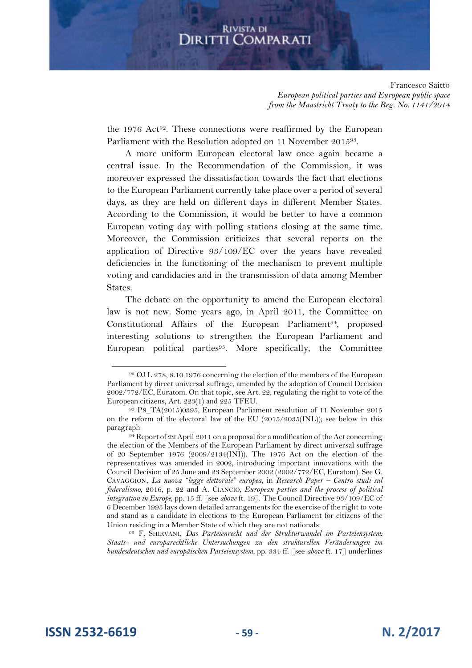Francesco Saitto *European political parties and European public space from the Maastricht Treaty to the Reg. No. 1141/2014*

the 1976  $Act^{92}$ . These connections were reaffirmed by the European Parliament with the Resolution adopted on 11 November 201593.

A more uniform European electoral law once again became a central issue. In the Recommendation of the Commission, it was moreover expressed the dissatisfaction towards the fact that elections to the European Parliament currently take place over a period of several days, as they are held on different days in different Member States. According to the Commission, it would be better to have a common European voting day with polling stations closing at the same time. Moreover, the Commission criticizes that several reports on the application of Directive 93/109/EC over the years have revealed deficiencies in the functioning of the mechanism to prevent multiple voting and candidacies and in the transmission of data among Member States.

The debate on the opportunity to amend the European electoral law is not new. Some years ago, in April 2011, the Committee on Constitutional Affairs of the European Parliament<sup>94</sup>, proposed interesting solutions to strengthen the European Parliament and European political parties<sup>95</sup>. More specifically, the Committee

<sup>95</sup> F. SHIRVANI, *Das Parteienrecht und der Strukturwandel im Parteiensystem: Staats- und europarechtliche Untersuchungen zu den strukturellen Veränderungen im bundesdeutschen und europäischen Parteiensystem*, pp. 334 ff. [see *above* ft. 17] underlines

**ISSN 2532-6619 - 59 - N. 2/2017**

<sup>92</sup> OJ L 278, 8.10.1976 concerning the election of the members of the European Parliament by direct universal suffrage, amended by the adoption of Council Decision 2002/772/EC, Euratom. On that topic, see Art. 22, regulating the right to vote of the European citizens, Art. 223(1) and 225 TFEU.

<sup>93</sup> P8\_TA(2015)0395, European Parliament resolution of 11 November 2015 on the reform of the electoral law of the EU (2015/2035(INL)); see below in this paragraph

 $94$  Report of 22 April 2011 on a proposal for a modification of the Act concerning the election of the Members of the European Parliament by direct universal suffrage of 20 September 1976 (2009/2134(INI)). The 1976 Act on the election of the representatives was amended in 2002, introducing important innovations with the Council Decision of 25 June and 23 September 2002 (2002/772/EC, Euratom). See G. CAVAGGION, *La nuova "legge elettorale" europea*, in *Research Paper – Centro studi sul federalismo*, 2016, p. 22 and A. CIANCIO, *European parties and the process of political integration in Europe*, pp. 15 ff. [see *above* ft. 19]. The Council Directive 93/109/EC of 6 December 1993 lays down detailed arrangements for the exercise of the right to vote and stand as a candidate in elections to the European Parliament for citizens of the Union residing in a Member State of which they are not nationals.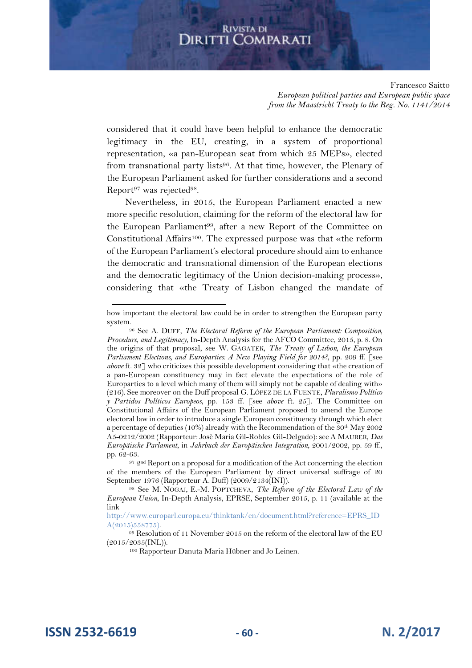Francesco Saitto *European political parties and European public space from the Maastricht Treaty to the Reg. No. 1141/2014*

considered that it could have been helpful to enhance the democratic legitimacy in the EU, creating, in a system of proportional representation, «a pan-European seat from which 25 MEPs», elected from transnational party lists<sup>96</sup>. At that time, however, the Plenary of the European Parliament asked for further considerations and a second Report<sup>97</sup> was rejected<sup>98</sup>.

Nevertheless, in 2015, the European Parliament enacted a new more specific resolution, claiming for the reform of the electoral law for the European Parliament<sup>99</sup>, after a new Report of the Committee on Constitutional Affairs<sup>100</sup>. The expressed purpose was that «the reform of the European Parliament's electoral procedure should aim to enhance the democratic and transnational dimension of the European elections and the democratic legitimacy of the Union decision-making process», considering that «the Treaty of Lisbon changed the mandate of

**ISSN 2532-6619 - 60 - N. 2/2017**

how important the electoral law could be in order to strengthen the European party system.

<sup>96</sup> See A. DUFF, *The Electoral Reform of the European Parliament: Composition, Procedure, and Legitimacy*, In-Depth Analysis for the AFCO Committee, 2015, p. 8. On the origins of that proposal, see W. GAGATEK, *The Treaty of Lisbon, the European Parliament Elections, and Europarties: A New Playing Field for 2014?*, pp. 209 ff. [see *above* ft. 32] who criticizes this possible development considering that «the creation of a pan-European constituency may in fact elevate the expectations of the role of Europarties to a level which many of them will simply not be capable of dealing with» (216). See moreover on the Duff proposal G. LÓPEZ DE LA FUENTE, *Pluralismo Político y Partidos Políticos Europeos*, pp. 153 ff. [see *above* ft. 25]. The Committee on Constitutional Affairs of the European Parliament proposed to amend the Europe electoral law in order to introduce a single European constituency through which elect a percentage of deputies (10%) already with the Recommendation of the  $\frac{8}{9}$ 0<sup>th</sup> May 2002 A5-0212/2002 (Rapporteur: Josè Maria Gil-Robles Gil-Delgado): see A MAURER, *Das Europäische Parlament*, in *Jahrbuch der Europäischen Integration*, 2001/2002, pp. 59 ff., pp. 62-63.

<sup>97 2</sup>nd Report on a proposal for a modification of the Act concerning the election of the members of the European Parliament by direct universal suffrage of 20 September 1976 (Rapporteur A. Duff) (2009/2134(INI)).

<sup>98</sup> See M. NOGAJ, E.-M. POPTCHEVA, *The Reform of the Electoral Law of the European Union*, In-Depth Analysis, EPRSE, September 2015, p. 11 (available at the link

http://www.europarl.europa.eu/thinktank/en/document.html?reference=EPRS\_ID A(2015)558775).

 $99$  Resolution of 11 November 2015 on the reform of the electoral law of the EU  $(2015/2035(INL)).$ 

<sup>100</sup> Rapporteur Danuta Maria Hübner and Jo Leinen.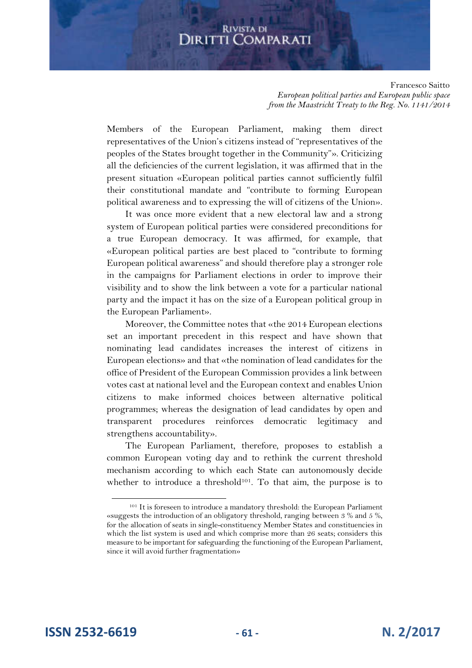Francesco Saitto *European political parties and European public space from the Maastricht Treaty to the Reg. No. 1141/2014*

Members of the European Parliament, making them direct representatives of the Union's citizens instead of "representatives of the peoples of the States brought together in the Community"». Criticizing all the deficiencies of the current legislation, it was affirmed that in the present situation «European political parties cannot sufficiently fulfil their constitutional mandate and "contribute to forming European political awareness and to expressing the will of citizens of the Union».

It was once more evident that a new electoral law and a strong system of European political parties were considered preconditions for a true European democracy. It was affirmed, for example, that «European political parties are best placed to "contribute to forming European political awareness" and should therefore play a stronger role in the campaigns for Parliament elections in order to improve their visibility and to show the link between a vote for a particular national party and the impact it has on the size of a European political group in the European Parliament».

Moreover, the Committee notes that «the 2014 European elections set an important precedent in this respect and have shown that nominating lead candidates increases the interest of citizens in European elections» and that «the nomination of lead candidates for the office of President of the European Commission provides a link between votes cast at national level and the European context and enables Union citizens to make informed choices between alternative political programmes; whereas the designation of lead candidates by open and transparent procedures reinforces democratic legitimacy and strengthens accountability».

The European Parliament, therefore, proposes to establish a common European voting day and to rethink the current threshold mechanism according to which each State can autonomously decide whether to introduce a threshold<sup>101</sup>. To that aim, the purpose is to

<sup>101</sup> It is foreseen to introduce a mandatory threshold: the European Parliament «suggests the introduction of an obligatory threshold, ranging between 3 % and 5 %, for the allocation of seats in single-constituency Member States and constituencies in which the list system is used and which comprise more than 26 seats; considers this measure to be important for safeguarding the functioning of the European Parliament, since it will avoid further fragmentation»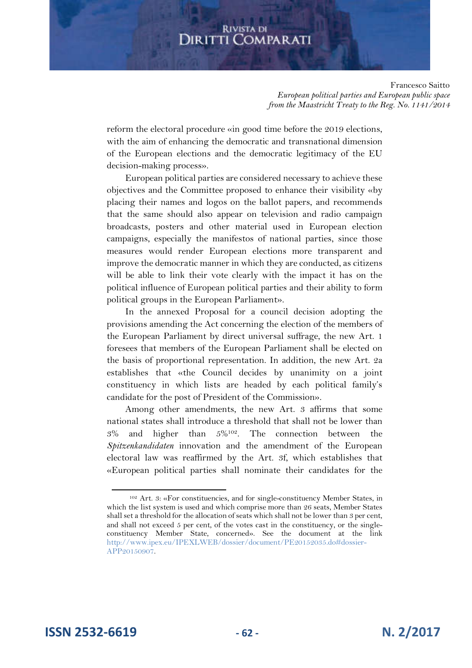Francesco Saitto *European political parties and European public space from the Maastricht Treaty to the Reg. No. 1141/2014*

reform the electoral procedure «in good time before the 2019 elections, with the aim of enhancing the democratic and transnational dimension of the European elections and the democratic legitimacy of the EU decision-making process».

European political parties are considered necessary to achieve these objectives and the Committee proposed to enhance their visibility «by placing their names and logos on the ballot papers, and recommends that the same should also appear on television and radio campaign broadcasts, posters and other material used in European election campaigns, especially the manifestos of national parties, since those measures would render European elections more transparent and improve the democratic manner in which they are conducted, as citizens will be able to link their vote clearly with the impact it has on the political influence of European political parties and their ability to form political groups in the European Parliament».

In the annexed Proposal for a council decision adopting the provisions amending the Act concerning the election of the members of the European Parliament by direct universal suffrage, the new Art. 1 foresees that members of the European Parliament shall be elected on the basis of proportional representation. In addition, the new Art. 2a establishes that «the Council decides by unanimity on a joint constituency in which lists are headed by each political family's candidate for the post of President of the Commission».

Among other amendments, the new Art. 3 affirms that some national states shall introduce a threshold that shall not be lower than  $3\%$  and higher than  $5\%^{102}$ . The connection between the *Spitzenkandidaten* innovation and the amendment of the European electoral law was reaffirmed by the Art. 3f, which establishes that «European political parties shall nominate their candidates for the

<sup>102</sup> Art. 3: «For constituencies, and for single-constituency Member States, in which the list system is used and which comprise more than 26 seats, Member States shall set a threshold for the allocation of seats which shall not be lower than 3 per cent, and shall not exceed 5 per cent, of the votes cast in the constituency, or the singleconstituency Member State, concerned». See the document at the link http://www.ipex.eu/IPEXLWEB/dossier/document/PE20152035.do#dossier-APP20150907.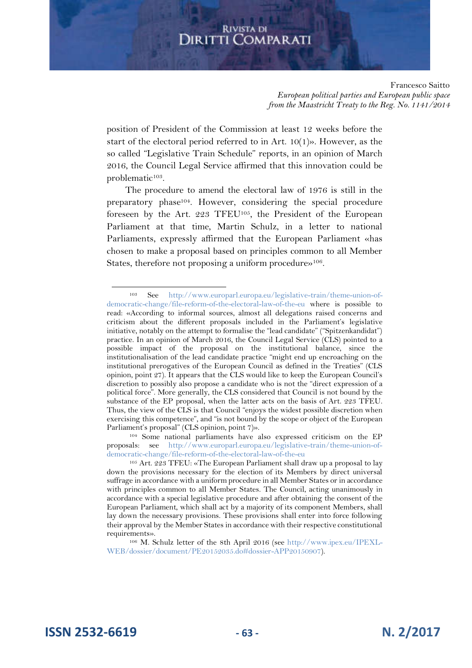Francesco Saitto *European political parties and European public space from the Maastricht Treaty to the Reg. No. 1141/2014*

position of President of the Commission at least 12 weeks before the start of the electoral period referred to in Art. 10(1)». However, as the so called "Legislative Train Schedule" reports, in an opinion of March 2016, the Council Legal Service affirmed that this innovation could be problematic<sup>103</sup>.

The procedure to amend the electoral law of 1976 is still in the preparatory phase<sup>104</sup>. However, considering the special procedure foreseen by the Art. 223 TFEU<sup>105</sup>, the President of the European Parliament at that time, Martin Schulz, in a letter to national Parliaments, expressly affirmed that the European Parliament «has chosen to make a proposal based on principles common to all Member States, therefore not proposing a uniform procedure»<sup>106</sup>.

106 M. Schulz letter of the 8th April 2016 (see http://www.ipex.eu/IPEXL-WEB/dossier/document/PE20152035.do#dossier-APP20150907).

**ISSN 2532-6619 - 63 - N. 2/2017**

<sup>103</sup> See http://www.europarl.europa.eu/legislative-train/theme-union-ofdemocratic-change/file-reform-of-the-electoral-law-of-the-eu where is possible to read: «According to informal sources, almost all delegations raised concerns and criticism about the different proposals included in the Parliament's legislative initiative, notably on the attempt to formalise the "lead candidate" ("Spitzenkandidat") practice. In an opinion of March 2016, the Council Legal Service (CLS) pointed to a possible impact of the proposal on the institutional balance, since the institutionalisation of the lead candidate practice "might end up encroaching on the institutional prerogatives of the European Council as defined in the Treaties" (CLS opinion, point 27). It appears that the CLS would like to keep the European Council's discretion to possibly also propose a candidate who is not the "direct expression of a political force". More generally, the CLS considered that Council is not bound by the substance of the EP proposal, when the latter acts on the basis of Art. 223 TFEU. Thus, the view of the CLS is that Council "enjoys the widest possible discretion when exercising this competence", and "is not bound by the scope or object of the European Parliament's proposal" (CLS opinion, point 7)».

<sup>104</sup> Some national parliaments have also expressed criticism on the EP proposals: see http://www.europarl.europa.eu/legislative-train/theme-union-ofdemocratic-change/file-reform-of-the-electoral-law-of-the-eu

<sup>105</sup> Art. 223 TFEU: «The European Parliament shall draw up a proposal to lay down the provisions necessary for the election of its Members by direct universal suffrage in accordance with a uniform procedure in all Member States or in accordance with principles common to all Member States. The Council, acting unanimously in accordance with a special legislative procedure and after obtaining the consent of the European Parliament, which shall act by a majority of its component Members, shall lay down the necessary provisions. These provisions shall enter into force following their approval by the Member States in accordance with their respective constitutional requirements».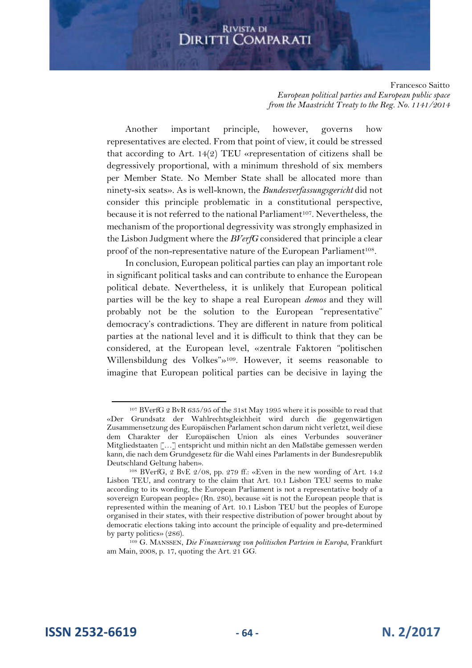#### Francesco Saitto *European political parties and European public space from the Maastricht Treaty to the Reg. No. 1141/2014*

Another important principle, however, governs how representatives are elected. From that point of view, it could be stressed that according to Art. 14(2) TEU «representation of citizens shall be degressively proportional, with a minimum threshold of six members per Member State. No Member State shall be allocated more than ninety-six seats». As is well-known, the *Bundesverfassungsgericht* did not consider this principle problematic in a constitutional perspective, because it is not referred to the national Parliament<sup>107</sup>. Nevertheless, the mechanism of the proportional degressivity was strongly emphasized in the Lisbon Judgment where the *BVerfG* considered that principle a clear proof of the non-representative nature of the European Parliament<sup>108</sup>.

In conclusion, European political parties can play an important role in significant political tasks and can contribute to enhance the European political debate. Nevertheless, it is unlikely that European political parties will be the key to shape a real European *demos* and they will probably not be the solution to the European "representative" democracy's contradictions. They are different in nature from political parties at the national level and it is difficult to think that they can be considered, at the European level, «zentrale Faktoren "politischen Willensbildung des Volkes"»<sup>109</sup>. However, it seems reasonable to imagine that European political parties can be decisive in laying the

<sup>107</sup> BVerfG 2 BvR 635/95 of the 31st May 1995 where it is possible to read that «Der Grundsatz der Wahlrechtsgleichheit wird durch die gegenwärtigen Zusammensetzung des Europäischen Parlament schon darum nicht verletzt, weil diese dem Charakter der Europäischen Union als eines Verbundes souveräner Mitgliedstaaten […] entspricht und mithin nicht an den Maßstäbe gemessen werden kann, die nach dem Grundgesetz für die Wahl eines Parlaments in der Bundesrepublik Deutschland Geltung haben».

<sup>108</sup> BVerfG, 2 BvE 2/08, pp. 279 ff.: «Even in the new wording of Art. 14.2 Lisbon TEU, and contrary to the claim that Art. 10.1 Lisbon TEU seems to make according to its wording, the European Parliament is not a representative body of a sovereign European people» (Rn. 280), because «it is not the European people that is represented within the meaning of Art. 10.1 Lisbon TEU but the peoples of Europe organised in their states, with their respective distribution of power brought about by democratic elections taking into account the principle of equality and pre-determined by party politics» (286).

<sup>109</sup> G. MANSSEN, *Die Finanzierung von politischen Parteien in Europa*, Frankfurt am Main, 2008, p. 17, quoting the Art. 21 GG.